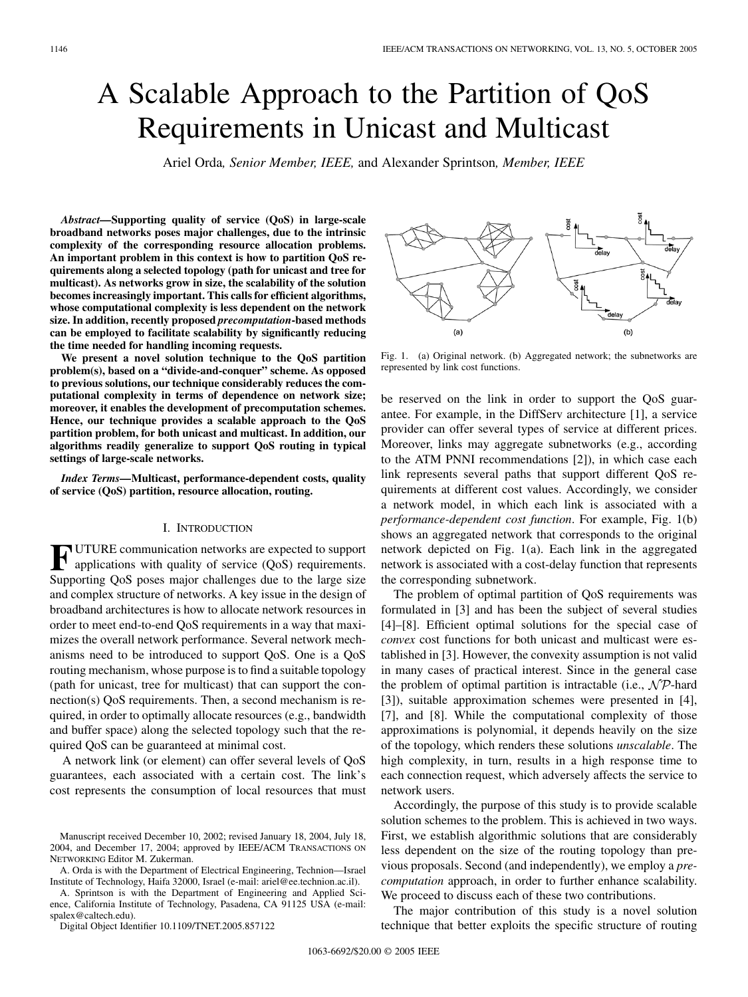# A Scalable Approach to the Partition of QoS Requirements in Unicast and Multicast

Ariel Orda*, Senior Member, IEEE,* and Alexander Sprintson*, Member, IEEE*

*Abstract—***Supporting quality of service (QoS) in large-scale broadband networks poses major challenges, due to the intrinsic complexity of the corresponding resource allocation problems. An important problem in this context is how to partition QoS requirements along a selected topology (path for unicast and tree for multicast). As networks grow in size, the scalability of the solution becomes increasingly important. This calls for efficient algorithms, whose computational complexity is less dependent on the network size. In addition, recently proposed** *precomputation***-based methods can be employed to facilitate scalability by significantly reducing the time needed for handling incoming requests.**

**We present a novel solution technique to the QoS partition problem(s), based on a "divide-and-conquer" scheme. As opposed to previous solutions, our technique considerably reduces the computational complexity in terms of dependence on network size; moreover, it enables the development of precomputation schemes. Hence, our technique provides a scalable approach to the QoS partition problem, for both unicast and multicast. In addition, our algorithms readily generalize to support QoS routing in typical settings of large-scale networks.**

*Index Terms—***Multicast, performance-dependent costs, quality of service (QoS) partition, resource allocation, routing.**

#### I. INTRODUCTION

**F** UTURE communication networks are expected to support applications with quality of service (QoS) requirements. Supporting QoS poses major challenges due to the large size and complex structure of networks. A key issue in the design of broadband architectures is how to allocate network resources in order to meet end-to-end QoS requirements in a way that maximizes the overall network performance. Several network mechanisms need to be introduced to support QoS. One is a QoS routing mechanism, whose purpose is to find a suitable topology (path for unicast, tree for multicast) that can support the connection(s) QoS requirements. Then, a second mechanism is required, in order to optimally allocate resources (e.g., bandwidth and buffer space) along the selected topology such that the required QoS can be guaranteed at minimal cost.

A network link (or element) can offer several levels of QoS guarantees, each associated with a certain cost. The link's cost represents the consumption of local resources that must

A. Orda is with the Department of Electrical Engineering, Technion—Israel Institute of Technology, Haifa 32000, Israel (e-mail: ariel@ee.technion.ac.il).

A. Sprintson is with the Department of Engineering and Applied Science, California Institute of Technology, Pasadena, CA 91125 USA (e-mail: spalex@caltech.edu).

Digital Object Identifier 10.1109/TNET.2005.857122



Fig. 1. (a) Original network. (b) Aggregated network; the subnetworks are represented by link cost functions.

be reserved on the link in order to support the QoS guarantee. For example, in the DiffServ architecture [[1\]](#page-13-0), a service provider can offer several types of service at different prices. Moreover, links may aggregate subnetworks (e.g., according to the ATM PNNI recommendations [\[2](#page-13-0)]), in which case each link represents several paths that support different QoS requirements at different cost values. Accordingly, we consider a network model, in which each link is associated with a *performance-dependent cost function*. For example, Fig. 1(b) shows an aggregated network that corresponds to the original network depicted on Fig. 1(a). Each link in the aggregated network is associated with a cost-delay function that represents the corresponding subnetwork.

The problem of optimal partition of QoS requirements was formulated in [[3\]](#page-13-0) and has been the subject of several studies [[4\]](#page-13-0)–[[8\]](#page-13-0). Efficient optimal solutions for the special case of *convex* cost functions for both unicast and multicast were established in [\[3](#page-13-0)]. However, the convexity assumption is not valid in many cases of practical interest. Since in the general case the problem of optimal partition is intractable (i.e.,  $\mathcal{NP}$ -hard [[3\]](#page-13-0)), suitable approximation schemes were presented in [[4\]](#page-13-0), [[7\]](#page-13-0), and [[8\]](#page-13-0). While the computational complexity of those approximations is polynomial, it depends heavily on the size of the topology, which renders these solutions *unscalable*. The high complexity, in turn, results in a high response time to each connection request, which adversely affects the service to network users.

Accordingly, the purpose of this study is to provide scalable solution schemes to the problem. This is achieved in two ways. First, we establish algorithmic solutions that are considerably less dependent on the size of the routing topology than previous proposals. Second (and independently), we employ a *precomputation* approach, in order to further enhance scalability. We proceed to discuss each of these two contributions.

The major contribution of this study is a novel solution technique that better exploits the specific structure of routing

Manuscript received December 10, 2002; revised January 18, 2004, July 18, 2004, and December 17, 2004; approved by IEEE/ACM TRANSACTIONS ON NETWORKING Editor M. Zukerman.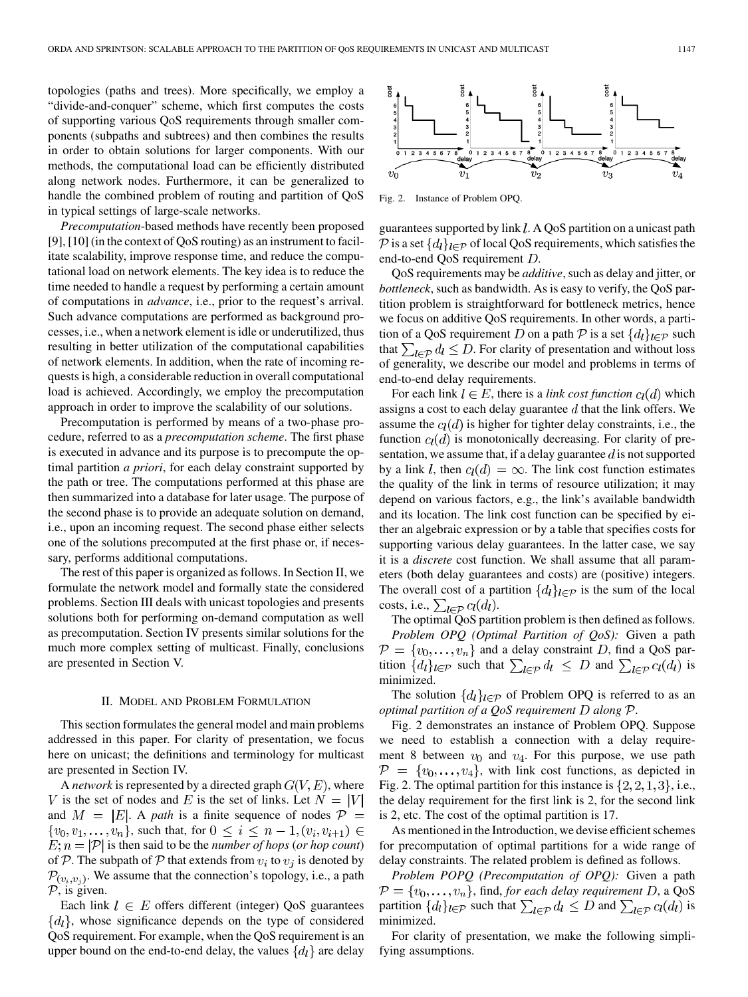topologies (paths and trees). More specifically, we employ a "divide-and-conquer" scheme, which first computes the costs of supporting various QoS requirements through smaller components (subpaths and subtrees) and then combines the results in order to obtain solutions for larger components. With our methods, the computational load can be efficiently distributed along network nodes. Furthermore, it can be generalized to handle the combined problem of routing and partition of QoS in typical settings of large-scale networks.

*Precomputation*-based methods have recently been proposed [\[9](#page-13-0)], [\[10](#page-13-0)] (in the context of QoS routing) as an instrument to facilitate scalability, improve response time, and reduce the computational load on network elements. The key idea is to reduce the time needed to handle a request by performing a certain amount of computations in *advance*, i.e., prior to the request's arrival. Such advance computations are performed as background processes, i.e., when a network element is idle or underutilized, thus resulting in better utilization of the computational capabilities of network elements. In addition, when the rate of incoming requests is high, a considerable reduction in overall computational load is achieved. Accordingly, we employ the precomputation approach in order to improve the scalability of our solutions.

Precomputation is performed by means of a two-phase procedure, referred to as a *precomputation scheme*. The first phase is executed in advance and its purpose is to precompute the optimal partition *a priori*, for each delay constraint supported by the path or tree. The computations performed at this phase are then summarized into a database for later usage. The purpose of the second phase is to provide an adequate solution on demand, i.e., upon an incoming request. The second phase either selects one of the solutions precomputed at the first phase or, if necessary, performs additional computations.

The rest of this paper is organized as follows. In Section II, we formulate the network model and formally state the considered problems. Section III deals with unicast topologies and presents solutions both for performing on-demand computation as well as precomputation. Section IV presents similar solutions for the much more complex setting of multicast. Finally, conclusions are presented in Section V.

#### II. MODEL AND PROBLEM FORMULATION

This section formulates the general model and main problems addressed in this paper. For clarity of presentation, we focus here on unicast; the definitions and terminology for multicast are presented in Section IV.

A *network* is represented by a directed graph  $G(V, E)$ , where V is the set of nodes and E is the set of links. Let  $N = |V|$ and  $M = |E|$ . A *path* is a finite sequence of nodes  $P =$  $\{v_0, v_1, \ldots, v_n\}$ , such that, for  $0 \le i \le n - 1, (v_i, v_{i+1}) \in$  $E; n = |\mathcal{P}|$  is then said to be the *number of hops* (*or hop count*) of P. The subpath of P that extends from  $v_i$  to  $v_j$  is denoted by  $P_{(v_i, v_j)}$ . We assume that the connection's topology, i.e., a path  $P$ , is given.

Each link  $l \in E$  offers different (integer) QoS guarantees  $\{d_l\}$ , whose significance depends on the type of considered QoS requirement. For example, when the QoS requirement is an upper bound on the end-to-end delay, the values  $\{d_l\}$  are delay

ទី ∔ eos  $\frac{3}{2}$  $8$  0 1 2 3 4 5 6 7<br>delay  $2345678$  $1 2 3 4 5 6 7$  $\overline{\mathfrak{o}}$ 1 2 3 4 5 6 7  $v_0$  $v_1$  $\boldsymbol{v}_2$  $v_3$  $v_4$ 

Fig. 2. Instance of Problem OPQ.

guarantees supported by link  $l$ . A QoS partition on a unicast path  $\mathcal P$  is a set  $\{d_l\}_{l\in\mathcal P}$  of local QoS requirements, which satisfies the end-to-end  $Q$ oS requirement  $D$ .

QoS requirements may be *additive*, such as delay and jitter, or *bottleneck*, such as bandwidth. As is easy to verify, the QoS partition problem is straightforward for bottleneck metrics, hence we focus on additive QoS requirements. In other words, a partition of a QoS requirement D on a path P is a set  $\{d_l\}_{l \in \mathcal{P}}$  such that  $\sum_{l \in \mathcal{P}} d_l \leq D$ . For clarity of presentation and without loss of generality, we describe our model and problems in terms of end-to-end delay requirements.

For each link  $l \in E$ , there is a *link cost function*  $c_l(d)$  which assigns a cost to each delay guarantee  $d$  that the link offers. We assume the  $c_l(d)$  is higher for tighter delay constraints, i.e., the function  $c_l(d)$  is monotonically decreasing. For clarity of presentation, we assume that, if a delay guarantee  $d$  is not supported by a link l, then  $c_l(d) = \infty$ . The link cost function estimates the quality of the link in terms of resource utilization; it may depend on various factors, e.g., the link's available bandwidth and its location. The link cost function can be specified by either an algebraic expression or by a table that specifies costs for supporting various delay guarantees. In the latter case, we say it is a *discrete* cost function. We shall assume that all parameters (both delay guarantees and costs) are (positive) integers. The overall cost of a partition  $\{d_l\}_{l \in \mathcal{P}}$  is the sum of the local costs, i.e.,  $\sum_{l \in \mathcal{P}} c_l(d_l)$ .

The optimal QoS partition problem is then defined as follows.

*Problem OPQ (Optimal Partition of QoS):* Given a path  $P = \{v_0, \ldots, v_n\}$  and a delay constraint D, find a QoS partition  $\{d_l\}_{l\in\mathcal{P}}$  such that  $\sum_{l\in\mathcal{P}}d_l \leq D$  and  $\sum_{l\in\mathcal{P}}c_l(d_l)$  is minimized.

The solution  $\{d_l\}_{l \in \mathcal{P}}$  of Problem OPQ is referred to as an *optimal partition of a QoS requirement*  $D$  along  $P$ .

Fig. 2 demonstrates an instance of Problem OPQ. Suppose we need to establish a connection with a delay requirement 8 between  $v_0$  and  $v_4$ . For this purpose, we use path  $\mathcal{P} = \{v_0, \ldots, v_4\}$ , with link cost functions, as depicted in Fig. 2. The optimal partition for this instance is  $\{2, 2, 1, 3\}$ , i.e., the delay requirement for the first link is 2, for the second link is 2, etc. The cost of the optimal partition is 17.

As mentioned in the Introduction, we devise efficient schemes for precomputation of optimal partitions for a wide range of delay constraints. The related problem is defined as follows.

*Problem POPQ (Precomputation of OPQ):* Given a path  $P = \{v_0, \ldots, v_n\}$ , find, *for each delay requirement D*, a QoS partition  $\{d_l\}_{l \in \mathcal{P}}$  such that  $\sum_{l \in \mathcal{P}} d_l \leq D$  and  $\sum_{l \in \mathcal{P}} c_l(d_l)$  is minimized.

For clarity of presentation, we make the following simplifying assumptions.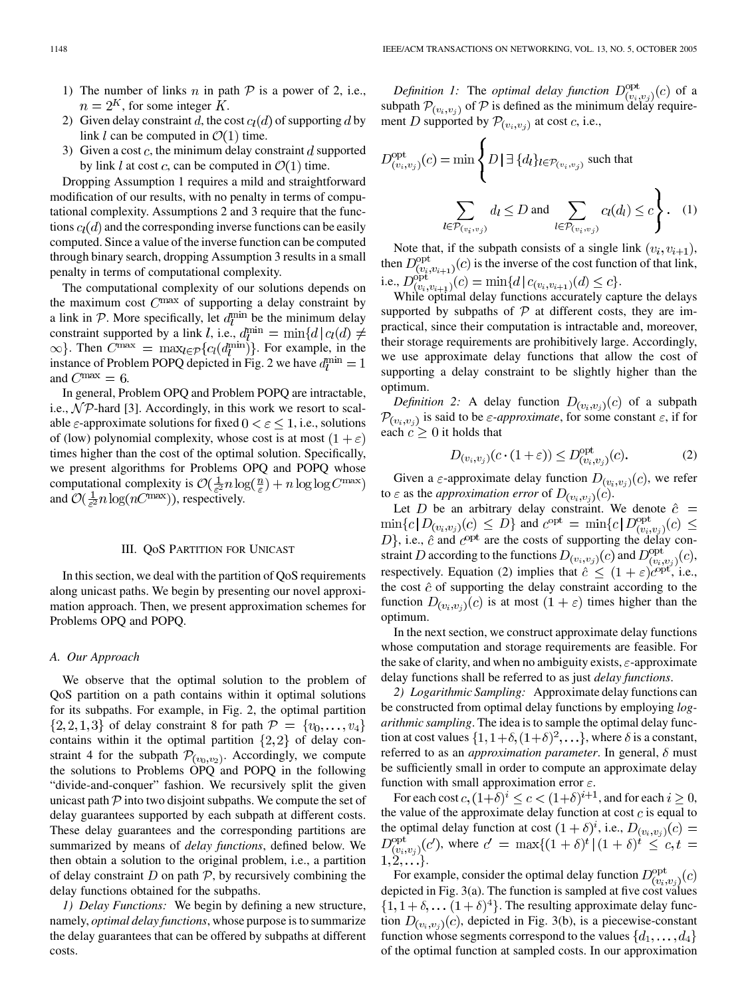- 1) The number of links  $n$  in path  $P$  is a power of 2, i.e.,  $n = 2<sup>K</sup>$ , for some integer K.
- 2) Given delay constraint d, the cost  $c_l(d)$  of supporting d by link l can be computed in  $\mathcal{O}(1)$  time.
- 3) Given a cost  $c$ , the minimum delay constraint  $d$  supported by link *l* at cost *c*, can be computed in  $\mathcal{O}(1)$  time.

Dropping Assumption 1 requires a mild and straightforward modification of our results, with no penalty in terms of computational complexity. Assumptions 2 and 3 require that the functions  $c_l(d)$  and the corresponding inverse functions can be easily computed. Since a value of the inverse function can be computed through binary search, dropping Assumption 3 results in a small penalty in terms of computational complexity.

The computational complexity of our solutions depends on the maximum cost  $C<sup>max</sup>$  of supporting a delay constraint by a link in  $P$ . More specifically, let  $d_l^{\min}$  be the minimum delay constraint supported by a link  $l$ , i.e.,  $\infty$ . Then  $C^{\max} = \max_{l \in \mathcal{P}} \{c_l(d_l^{\min})\}\$ . For example, in the instance of Problem POPQ depicted in Fig. 2 we have  $d_l^{\min} = 1$ and  $C^{max} = 6$ .

In general, Problem OPQ and Problem POPQ are intractable, i.e.,  $\mathcal{NP}$ -hard [[3\]](#page-13-0). Accordingly, in this work we resort to scalable  $\varepsilon$ -approximate solutions for fixed  $0 < \varepsilon < 1$ , i.e., solutions of (low) polynomial complexity, whose cost is at most  $(1 + \varepsilon)$ times higher than the cost of the optimal solution. Specifically, we present algorithms for Problems OPQ and POPQ whose computational complexity is  $\mathcal{O}(\frac{1}{\varepsilon^2} n \log(\frac{n}{\varepsilon}) + n \log \log C^{\max})$ and  $\mathcal{O}(\frac{1}{\epsilon^2} n \log(nC^{\max}))$ , respectively.

#### III. QoS PARTITION FOR UNICAST

In this section, we deal with the partition of QoS requirements along unicast paths. We begin by presenting our novel approximation approach. Then, we present approximation schemes for Problems OPQ and POPQ.

#### *A. Our Approach*

We observe that the optimal solution to the problem of QoS partition on a path contains within it optimal solutions for its subpaths. For example, in Fig. 2, the optimal partition  $\{2,2,1,3\}$  of delay constraint 8 for path  $\mathcal{P} = \{v_0,\ldots,v_4\}$ contains within it the optimal partition  $\{2, 2\}$  of delay constraint 4 for the subpath  $P_{(v_0, v_2)}$ . Accordingly, we compute the solutions to Problems OPQ and POPQ in the following "divide-and-conquer" fashion. We recursively split the given unicast path  $\mathcal P$  into two disjoint subpaths. We compute the set of delay guarantees supported by each subpath at different costs. These delay guarantees and the corresponding partitions are summarized by means of *delay functions*, defined below. We then obtain a solution to the original problem, i.e., a partition of delay constraint  $D$  on path  $P$ , by recursively combining the delay functions obtained for the subpaths.

*1) Delay Functions:* We begin by defining a new structure, namely, *optimal delay functions*, whose purpose is to summarize the delay guarantees that can be offered by subpaths at different costs.

*Definition 1:* The *optimal delay function*  $D_{(v_i, v_i)}^{\text{opt}}(c)$  of a subpath  $\mathcal{P}_{(v_i, v_j)}$  of  $\mathcal P$  is defined as the minimum delay requirement D supported by  $\mathcal{P}_{(v_i, v_j)}$  at cost c, i.e.,

$$
D_{(v_i, v_j)}^{\text{opt}}(c) = \min \left\{ D \mid \exists \{d_l\}_{l \in \mathcal{P}_{(v_i, v_j)}} \text{ such that } \right\}
$$

$$
\sum_{l \in \mathcal{P}_{(v_i, v_j)}} d_l \le D \text{ and } \sum_{l \in \mathcal{P}_{(v_i, v_j)}} c_l(d_l) \le c \right\}. \quad (1)
$$

Note that, if the subpath consists of a single link  $(v_i, v_{i+1})$ , then  $D_{(v_i, v_{i+1})}^{\text{opt}}(c)$  is the inverse of the cost function of that link, i.e.,  $D_{(v_1, v_{i+1})}^{\text{opt}}(c) = \min\{d \mid c_{(v_i, v_{i+1})}(d) \leq c\}.$ 

While optimal delay functions accurately capture the delays supported by subpaths of  $P$  at different costs, they are impractical, since their computation is intractable and, moreover, their storage requirements are prohibitively large. Accordingly, we use approximate delay functions that allow the cost of supporting a delay constraint to be slightly higher than the optimum.

*Definition 2:* A delay function  $D_{(v_i, v_i)}(c)$  of a subpath  $P_{(v_i, v_j)}$  is said to be  $\varepsilon$ -*approximate*, for some constant  $\varepsilon$ , if for each  $c \geq 0$  it holds that

$$
D_{(v_i, v_j)}(c \cdot (1 + \varepsilon)) \le D_{(v_i, v_j)}^{\text{opt}}(c). \tag{2}
$$

Given a  $\varepsilon$ -approximate delay function  $D_{(v_i, v_j)}(c)$ , we refer to  $\varepsilon$  as the *approximation error* of  $D_{(v_i, v_j)}(c)$ .

Let  $D$  be an arbitrary delay constraint. We denote  $\hat{c}$  =  $\min\{c \, | \, D_{(v_i, v_j)}(c) \leq D\}$  and  $c^{\text{opt}} = \min\{c \, | \, D_{(v_i, v_j)}^{\text{opt}}(c) \leq D\}$  $D$ , i.e.,  $\hat{c}$  and  $c^{\text{opt}}$  are the costs of supporting the delay constraint D according to the functions  $D_{(v_i, v_j)}(c)$  and  $D_{(v_i, v_j)}^{\text{opt}}(c)$ , respectively. Equation (2) implies that  $\hat{c} \leq (1+\varepsilon)c^{\text{opt}}$ , i.e., the cost  $\hat{c}$  of supporting the delay constraint according to the function  $D_{(v_i, v_j)}(c)$  is at most  $(1 + \varepsilon)$  times higher than the optimum.

In the next section, we construct approximate delay functions whose computation and storage requirements are feasible. For the sake of clarity, and when no ambiguity exists,  $\varepsilon$ -approximate delay functions shall be referred to as just *delay functions*.

*2) Logarithmic Sampling:* Approximate delay functions can be constructed from optimal delay functions by employing *logarithmic sampling*. The idea is to sample the optimal delay function at cost values  $\{1, 1+\delta, (1+\delta)^2, \ldots\}$ , where  $\delta$  is a constant, referred to as an *approximation parameter*. In general,  $\delta$  must be sufficiently small in order to compute an approximate delay function with small approximation error  $\varepsilon$ .

For each cost  $c$ ,  $(1+\delta)^i \leq c < (1+\delta)^{i+1}$ , and for each  $i \geq 0$ , the value of the approximate delay function at cost  $c$  is equal to the optimal delay function at cost  $(1 + \delta)^i$ , i.e.,  $D_{(v_i, v_i)}(c) =$  $D_{(v_i, v_j)}^{\text{opt}}(c')$ , where  $c' = \max\{(1+\delta)^t | (1+\delta)^t \leq c, t =$  $1, 2, \ldots$ .

For example, consider the optimal delay function  $D^{\text{opt}}_{(v_i, v_j)}(c)$ depicted in Fig. 3(a). The function is sampled at five cost values  $\{1, 1+\delta, \ldots (1+\delta)^4\}$ . The resulting approximate delay function  $D_{(v_i, v_i)}(c)$ , depicted in Fig. 3(b), is a piecewise-constant function whose segments correspond to the values  $\{d_1, \ldots, d_4\}$ of the optimal function at sampled costs. In our approximation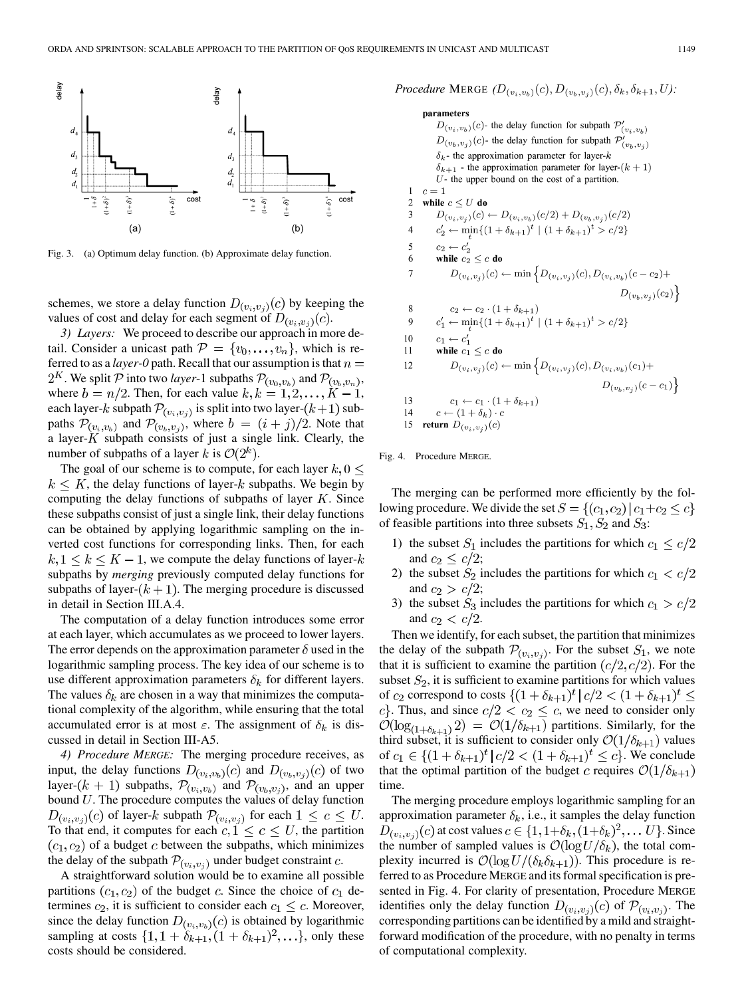

Fig. 3. (a) Optimum delay function. (b) Approximate delay function.

schemes, we store a delay function  $D_{(v_i, v_j)}(c)$  by keeping the values of cost and delay for each segment of  $D_{(v_i, v_j)}(c)$ .

*3) Layers:* We proceed to describe our approach in more detail. Consider a unicast path  $\mathcal{P} = \{v_0, \ldots, v_n\}$ , which is referred to as a *layer-0* path. Recall that our assumption is that  $n =$  $2^K$  . We split  ${\mathcal P}$  into two *layer*-1 subpaths  ${\mathcal P}_{(v_0, v_b)}$  and  ${\mathcal P}_{(v_b, v_n)},$ where  $b = n/2$ . Then, for each value  $k, k = 1, 2, ..., K - 1$ , each layer- $k$  subpath  $\mathcal{P}_{(v_i, v_j)}$  is split into two layer- $(k+1)$  subpaths  $\mathcal{P}_{(v_i, v_b)}$  and  $\mathcal{P}_{(v_b, v_j)}$ , where  $b = (i + j)/2$ . Note that a layer- $K$  subpath consists of just a single link. Clearly, the number of subpaths of a layer k is  $\mathcal{O}(2^{k})$ .

The goal of our scheme is to compute, for each layer  $k, 0 \leq$  $k \leq K$ , the delay functions of layer-k subpaths. We begin by computing the delay functions of subpaths of layer  $K$ . Since these subpaths consist of just a single link, their delay functions can be obtained by applying logarithmic sampling on the inverted cost functions for corresponding links. Then, for each  $k, 1 \leq k \leq K - 1$ , we compute the delay functions of layer- $k$ subpaths by *merging* previously computed delay functions for subpaths of layer- $(k + 1)$ . The merging procedure is discussed in detail in Section III.A.4.

The computation of a delay function introduces some error at each layer, which accumulates as we proceed to lower layers. The error depends on the approximation parameter  $\delta$  used in the logarithmic sampling process. The key idea of our scheme is to use different approximation parameters  $\delta_k$  for different layers. The values  $\delta_k$  are chosen in a way that minimizes the computational complexity of the algorithm, while ensuring that the total accumulated error is at most  $\varepsilon$ . The assignment of  $\delta_k$  is discussed in detail in Section III-A5.

*4) Procedure MERGE:* The merging procedure receives, as input, the delay functions  $D_{(v_i, v_b)}(c)$  and  $D_{(v_b, v_i)}(c)$  of two layer- $(k + 1)$  subpaths,  $\mathcal{P}_{(v_i, v_b)}$  and  $\mathcal{P}_{(v_b, v_i)}$ , and an upper bound  $U$ . The procedure computes the values of delay function  $D_{(v_i, v_j)}(c)$  of layer-k subpath  $\mathcal{P}_{(v_i, v_j)}$  for each  $1 \leq c \leq U$ . To that end, it computes for each  $c, 1 \leq c \leq U$ , the partition  $(c_1, c_2)$  of a budget c between the subpaths, which minimizes the delay of the subpath  $P_{(v_i, v_j)}$  under budget constraint c.

A straightforward solution would be to examine all possible partitions  $(c_1, c_2)$  of the budget c. Since the choice of  $c_1$  determines  $c_2$ , it is sufficient to consider each  $c_1 \leq c$ . Moreover, since the delay function  $D_{(v_i,v_b)}(c)$  is obtained by logarithmic sampling at costs  $\{1, 1 + \delta_{k+1}, (1 + \delta_{k+1})^2, \ldots\}$ , only these costs should be considered.

*Procedure* MERGE  $(D_{(v_i,v_b)}(c), D_{(v_b,v_i)}(c), \delta_k, \delta_{k+1}, U)$ :

#### parameters

 $D_{(v_i, v_b)}(c)$ - the delay function for subpath  $\mathcal{P}'_{(v_i, v_b)}$  $D_{(v_b, v_j)}(c)$ - the delay function for subpath  $\mathcal{P}'_{(v_b, v_j)}$  $\delta_k$ - the approximation parameter for layer- $k$  $\delta_{k+1}$  - the approximation parameter for layer- $(k+1)$  $U$ - the upper bound on the cost of a partition.  $\overline{1}$  $c=1$ while  $c\leq U$  do  $\overline{2}$  $D_{(v_i, v_j)}(c) \leftarrow D_{(v_i, v_b)}(c/2) + D_{(v_b, v_j)}(c/2)$  $\mathfrak z$  $\overline{\mathbf{4}}$  $c'_2 \leftarrow \min\{(1+\delta_{k+1})^t \mid (1+\delta_{k+1})^t > c/2\}$  $c_2 \leftarrow c_2'$ 5 while  $c_2^2 \leq c$  do 6  $D_{(v_i, v_j)}(c) \leftarrow \min \left\{ D_{(v_i, v_j)}(c), D_{(v_i, v_b)}(c - c_2) + \right\}$  $\overline{7}$  $D_{(v_h, v_i)}(c_2)$  $\begin{array}{c} c_2 \leftarrow c_2 \cdot \left(1+\delta_{k+1}\right) \\ c_1' \leftarrow \min_{t} \{(1+\delta_{k+1})^t \mid (1+\delta_{k+1})^t > c/2\} \end{array}$  $\,$  8  $\,$ 9  $c_1 \leftarrow c'_1$ <br>while  $c_1 \leq c$  do 10  $11$  $D_{(v_i, v_j)}(c) \leftarrow \min \left\{ D_{(v_i, v_j)}(c), D_{(v_i, v_b)}(c_1) + \right\}$ 12  $D_{(v_b, v_i)}(c - c_1)$ 13  $c_1 \leftarrow c_1 \cdot (1 + \delta_{k+1})$  $c \leftarrow (1+\delta_k) \cdot c$ 14 return  $D_{(v_i, v_j)}(c)$ 15

Fig. 4. Procedure MERGE.

The merging can be performed more efficiently by the following procedure. We divide the set  $S = \{(c_1, c_2) | c_1+c_2 \leq c\}$ of feasible partitions into three subsets  $S_1, S_2$  and  $S_3$ :

- 1) the subset  $S_1$  includes the partitions for which  $c_1 \leq c/2$ and  $c_2 \leq c/2$ ;
- 2) the subset  $S_2$  includes the partitions for which  $c_1 < c/2$ and  $c_2 > c/2$ ;
- 3) the subset  $S_3$  includes the partitions for which  $c_1 > c/2$ and  $c_2 < c/2$ .

Then we identify, for each subset, the partition that minimizes the delay of the subpath  $P_{(v_i, v_i)}$ . For the subset  $S_1$ , we note that it is sufficient to examine the partition  $(c/2, c/2)$ . For the subset  $S_2$ , it is sufficient to examine partitions for which values of  $c_2$  correspond to costs  $\{(1 + \delta_{k+1})^t | c/2 < (1 + \delta_{k+1})^t \leq$ c}. Thus, and since  $c/2 < c_2 \leq c$ , we need to consider only  $\mathcal{O}(\log_{(1+\delta_{k+1})} 2) = \mathcal{O}(1/\delta_{k+1})$  partitions. Similarly, for the third subset, it is sufficient to consider only  $O(1/\delta_{k+1})$  values of  $c_1 \in \{(1+\delta_{k+1})^t | c/2 < (1+\delta_{k+1})^t \leq c\}$ . We conclude that the optimal partition of the budget c requires  $\mathcal{O}(1/\delta_{k+1})$ time.

The merging procedure employs logarithmic sampling for an approximation parameter  $\delta_k$ , i.e., it samples the delay function  $D_{(v_i, v_j)}(c)$  at cost values  $c \in \{1, 1+\delta_k, (1+\delta_k)^2, \dots U\}$ . Since the number of sampled values is  $\mathcal{O}(\log U/\delta_k)$ , the total complexity incurred is  $\mathcal{O}(\log U/(\delta_k \delta_{k+1}))$ . This procedure is referred to as Procedure MERGE and its formal specification is presented in Fig. 4. For clarity of presentation, Procedure MERGE identifies only the delay function  $D_{(v_i, v_j)}(c)$  of  $\mathcal{P}_{(v_i, v_j)}$ . The corresponding partitions can be identified by a mild and straightforward modification of the procedure, with no penalty in terms of computational complexity.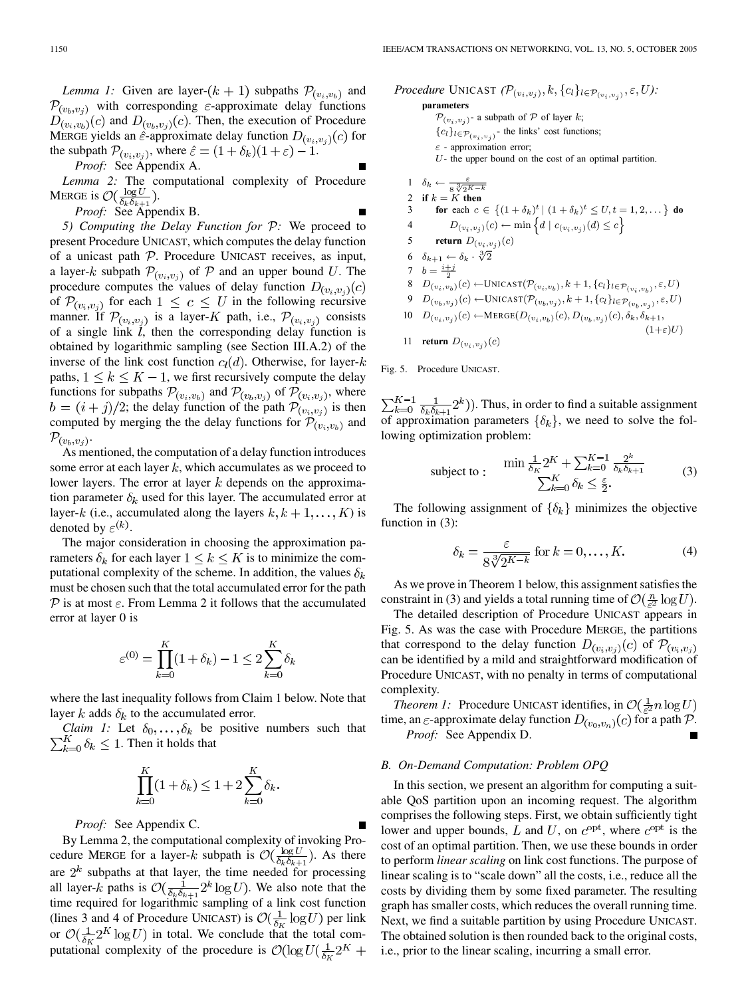*Lemma 1:* Given are layer- $(k + 1)$  subpaths  $P_{(v_i, v_b)}$  and  $\mathcal{P}_{(v_h, v_i)}$  with corresponding  $\varepsilon$ -approximate delay functions  $D_{(v_i,v_b)}(c)$  and  $D_{(v_b,v_i)}(c)$ . Then, the execution of Procedure MERGE yields an  $\hat{\varepsilon}$ -approximate delay function  $D_{(v_i, v_j)}(c)$  for the subpath  $\mathcal{P}_{(v_i, v_j)}$ , where  $\hat{\varepsilon} = (1 + \delta_k)(1 + \varepsilon) - 1$ .

*Proof:* See Appendix A.

*Lemma 2:* The computational complexity of Procedure MERGE is  $\mathcal{O}(\frac{\log U}{\delta_k \delta_{k+1}})$ .

*Proof:* See Appendix B.

*5) Computing the Delay Function for P: We proceed to* present Procedure UNICAST, which computes the delay function of a unicast path  $P$ . Procedure UNICAST receives, as input, a layer-k subpath  $\mathcal{P}_{(v_i, v_j)}$  of  $\mathcal P$  and an upper bound U. The procedure computes the values of delay function  $D_{(v_i, v_j)}(c)$ of  $\mathcal{P}_{(v_i, v_j)}$  for each  $1 \leq c \leq U$  in the following recursive manner. If  $\mathcal{P}_{(v_i, v_j)}$  is a layer-K path, i.e.,  $\mathcal{P}_{(v_i, v_j)}$  consists of a single link  $l$ , then the corresponding delay function is obtained by logarithmic sampling (see Section III.A.2) of the inverse of the link cost function  $c_l(d)$ . Otherwise, for layer-k paths,  $1 \leq k \leq K - 1$ , we first recursively compute the delay functions for subpaths  $\mathcal{P}_{(v_i, v_b)}$  and  $\mathcal{P}_{(v_b, v_j)}$  of  $\mathcal{P}_{(v_i, v_j)}$ , where  $b = (i + j)/2$ ; the delay function of the path  $\mathcal{P}_{(v_i, v_j)}$  is then computed by merging the the delay functions for  $\mathcal{P}_{(v_i, v_b)}$  and  $\mathcal{P}_{(v_b,v_j)}$ .

As mentioned, the computation of a delay function introduces some error at each layer  $k$ , which accumulates as we proceed to lower layers. The error at layer  $k$  depends on the approximation parameter  $\delta_k$  used for this layer. The accumulated error at layer- $k$  (i.e., accumulated along the layers  $k, k + 1, \ldots, K$ ) is denoted by  $\varepsilon^{(k)}$ .

The major consideration in choosing the approximation parameters  $\delta_k$  for each layer  $1 \leq k \leq K$  is to minimize the computational complexity of the scheme. In addition, the values  $\delta_k$ must be chosen such that the total accumulated error for the path  $\mathcal P$  is at most  $\varepsilon$ . From Lemma 2 it follows that the accumulated error at layer 0 is

$$
\varepsilon^{(0)} = \prod_{k=0}^{K} (1 + \delta_k) - 1 \le 2 \sum_{k=0}^{K} \delta_k
$$

where the last inequality follows from Claim 1 below. Note that layer k adds  $\delta_k$  to the accumulated error.

*Claim 1:* Let  $\delta_0, \ldots, \delta_k$  be positive numbers such that  $\sum_{k=0}^{K} \delta_k \leq 1$ . Then it holds that

$$
\prod_{k=0}^{K} (1 + \delta_k) \le 1 + 2 \sum_{k=0}^{K} \delta_k.
$$

*Proof:* See Appendix C.

By Lemma 2, the computational complexity of invoking Procedure MERGE for a layer-k subpath is  $\mathcal{O}(\frac{\log U}{\delta_k \delta_{k+1}})$ . As there are  $2^k$  subpaths at that layer, the time needed for processing all layer-k paths is  $\mathcal{O}(\frac{1}{8 \sqrt{N+1}} 2^k \log U)$ . We also note that the time required for logarithmic sampling of a link cost function (lines 3 and 4 of Procedure UNICAST) is  $\mathcal{O}(\frac{1}{\delta_K} \log U)$  per link or  $\mathcal{O}(\frac{1}{\delta \kappa} 2^K \log U)$  in total. We conclude that the total computational complexity of the procedure is  $\mathcal{O}(\log U(\frac{1}{\delta \kappa} 2^{K} +$  *Procedure* UNICAST  $(\mathcal{P}_{(v_i,v_i)}, k, \{c_l\}_{l \in \mathcal{P}_{(v_i,v_i)}}, \varepsilon, U)$ :

parameters  $\mathcal{P}_{(v_i, v_j)}$ - a subpath of  $\mathcal P$  of layer k;  ${c_l}_{l \in \mathcal{P}_{(v_i, v_j)}}$ - the links' cost functions;  $\varepsilon$  - approximation error;  $U$ - the upper bound on the cost of an optimal partition.  $1 \quad \delta_k \leftarrow \frac{\varepsilon}{8\sqrt[3]{2^{K-k}}}$ 2 if  $k = K$  then for each  $c \in \{(1+\delta_k)^t \mid (1+\delta_k)^t \leq U, t = 1, 2, ...\}$  do  $\sqrt{3}$  $D_{(v_i, v_j)}(c) \leftarrow \min \{ d \mid c_{(v_i, v_j)}(d) \leq c \}$  $\overline{4}$ return  $D_{(v_i, v_j)}(c)$ 5 6  $\delta_{k+1} \leftarrow \delta_k \cdot \sqrt[3]{2}$ 7  $b = \frac{i+j}{2}$ 8  $D_{(v_i,v_b)}(c) \leftarrow \text{UNICAST}(\mathcal{P}_{(v_i,v_b)}, k+1, \{c_l\}_{l \in \mathcal{P}_{(v_i,v_b)}}, \varepsilon, U)$ 9  $D_{(v_b, v_j)}(c) \leftarrow \text{UNICAST}(\mathcal{P}_{(v_b, v_j)}, k+1, \{c_l\}_{l \in \mathcal{P}_{(v_b, v_j)}}, \varepsilon, U)$ 10  $D_{(v_i, v_j)}(c) \leftarrow \text{MERGE}(D_{(v_i, v_b)}(c), D_{(v_b, v_j)}(c), \delta_k, \delta_{k+1},$  $(1+\varepsilon)U$ 11 **return**  $D_{(v_i, v_i)}(c)$ 

Fig. 5. Procedure UNICAST.

 $\sum_{k=0}^{K-1} \frac{1}{\delta_k \delta_{k+1}} 2^k$ ). Thus, in order to find a suitable assignment of approximation parameters  $\{\delta_k\}$ , we need to solve the following optimization problem:

subject to : 
$$
\min \frac{1}{\delta_K} 2^K + \sum_{k=0}^{K-1} \frac{2^k}{\delta_k \delta_{k+1}}
$$

$$
\sum_{k=0}^{K} \delta_k \le \frac{\varepsilon}{2}.
$$
 (3)

The following assignment of  $\{\delta_k\}$  minimizes the objective function in (3):

$$
\delta_k = \frac{\varepsilon}{8\sqrt[3]{2^{K-k}}} \text{ for } k = 0, \dots, K. \tag{4}
$$

As we prove in Theorem 1 below, this assignment satisfies the constraint in (3) and yields a total running time of  $\mathcal{O}(\frac{n}{c^2} \log U)$ .

The detailed description of Procedure UNICAST appears in Fig. 5. As was the case with Procedure MERGE, the partitions that correspond to the delay function  $D_{(v_i, v_j)}(c)$  of  $\mathcal{P}_{(v_i, v_j)}$ can be identified by a mild and straightforward modification of Procedure UNICAST, with no penalty in terms of computational complexity.

*Theorem 1:* Procedure UNICAST identifies, in  $\mathcal{O}(\frac{1}{\varepsilon^2}n\log U)$ time, an  $\varepsilon$ -approximate delay function  $D_{(v_0,v_n)}(c)$  for a path  $\mathcal{P}$ . *Proof:* See Appendix D.

#### *B. On-Demand Computation: Problem OPQ*

In this section, we present an algorithm for computing a suitable QoS partition upon an incoming request. The algorithm comprises the following steps. First, we obtain sufficiently tight lower and upper bounds, L and U, on  $c^{\text{opt}}$ , where  $c^{\text{opt}}$  is the cost of an optimal partition. Then, we use these bounds in order to perform *linear scaling* on link cost functions. The purpose of linear scaling is to "scale down" all the costs, i.e., reduce all the costs by dividing them by some fixed parameter. The resulting graph has smaller costs, which reduces the overall running time. Next, we find a suitable partition by using Procedure UNICAST. The obtained solution is then rounded back to the original costs, i.e., prior to the linear scaling, incurring a small error.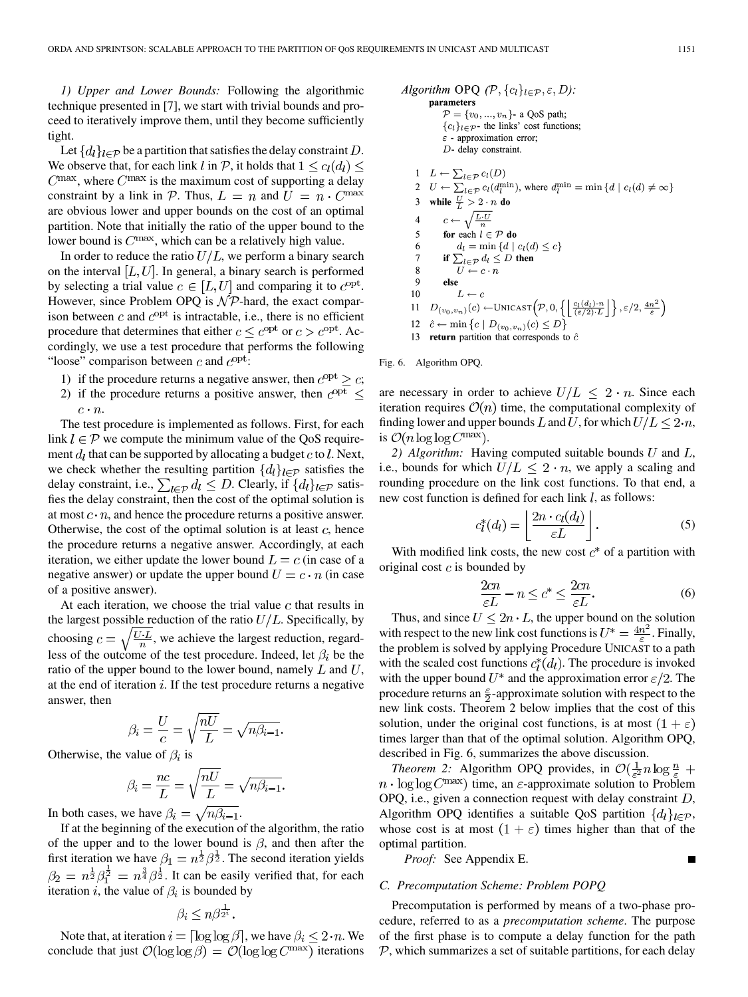*1) Upper and Lower Bounds:* Following the algorithmic technique presented in [[7\]](#page-13-0), we start with trivial bounds and proceed to iteratively improve them, until they become sufficiently tight.

Let  $\{d_l\}_{l \in \mathcal{P}}$  be a partition that satisfies the delay constraint D. We observe that, for each link l in P, it holds that  $1 \leq c_l(d_l) \leq$  $C<sup>max</sup>$ , where  $C<sup>max</sup>$  is the maximum cost of supporting a delay constraint by a link in  $P$ . Thus,  $L = n$  and  $U = n \cdot C^{max}$ are obvious lower and upper bounds on the cost of an optimal partition. Note that initially the ratio of the upper bound to the lower bound is  $C<sup>\text{max}</sup>$ , which can be a relatively high value.

In order to reduce the ratio  $U/L$ , we perform a binary search on the interval  $[L, U]$ . In general, a binary search is performed by selecting a trial value  $c \in [L, U]$  and comparing it to  $c^{\text{opt}}$ . However, since Problem OPQ is  $\mathcal{NP}$ -hard, the exact comparison between c and  $c^{opt}$  is intractable, i.e., there is no efficient procedure that determines that either  $c \leq c^{\text{opt}}$  or  $c > c^{\text{opt}}$ . Accordingly, we use a test procedure that performs the following "loose" comparison between  $c$  and  $c^{\text{opt}}$ :

- 1) if the procedure returns a negative answer, then  $c^{\text{opt}} \geq c$ ;
- 2) if the procedure returns a positive answer, then  $c^{\text{opt}} \leq$  $c \cdot n$ .

The test procedure is implemented as follows. First, for each link  $l \in \mathcal{P}$  we compute the minimum value of the QoS requirement  $d_l$  that can be supported by allocating a budget c to l. Next, we check whether the resulting partition  $\{d_l\}_{l \in \mathcal{P}}$  satisfies the delay constraint, i.e.,  $\sum_{l \in \mathcal{P}} d_l \leq D$ . Clearly, if  $\{d_l\}_{l \in \mathcal{P}}$  satisfies the delay constraint, then the cost of the optimal solution is at most  $c \cdot n$ , and hence the procedure returns a positive answer. Otherwise, the cost of the optimal solution is at least  $c$ , hence the procedure returns a negative answer. Accordingly, at each iteration, we either update the lower bound  $L = c$  (in case of a negative answer) or update the upper bound  $U = c \cdot n$  (in case of a positive answer).

At each iteration, we choose the trial value  $c$  that results in the largest possible reduction of the ratio  $U/L$ . Specifically, by choosing  $c = \sqrt{\frac{U - L}{n}}$ , we achieve the largest reduction, regardless of the outcome of the test procedure. Indeed, let  $\beta_i$  be the ratio of the upper bound to the lower bound, namely  $L$  and  $U$ , at the end of iteration  $i$ . If the test procedure returns a negative answer, then

$$
\beta_i = \frac{U}{c} = \sqrt{\frac{nU}{L}} = \sqrt{n\beta_{i-1}}.
$$

Otherwise, the value of  $\beta_i$  is

$$
\beta_i = \frac{nc}{L} = \sqrt{\frac{nU}{L}} = \sqrt{n\beta_{i-1}}.
$$

In both cases, we have  $\beta_i = \sqrt{n\beta_{i-1}}$ .

If at the beginning of the execution of the algorithm, the ratio of the upper and to the lower bound is  $\beta$ , and then after the first iteration we have  $\beta_1 = n^{\frac{1}{2}} \beta^{\frac{1}{2}}$ . The second iteration yields  $\beta_2 = n^{\frac{1}{2}} \beta_1^{\frac{1}{2}} = n^{\frac{3}{4}} \beta_2^{\frac{1}{2}}$ . It can be easily verified that, for each iteration i, the value of  $\beta_i$  is bounded by

$$
\beta_i \leq n\beta^{\frac{1}{2^i}}.
$$

Note that, at iteration  $i = \lceil \log \log \beta \rceil$ , we have  $\beta_i < 2 \cdot n$ . We conclude that just  $\mathcal{O}(\log \log \beta) = \mathcal{O}(\log \log C^{\max})$  iterations

Algorithm OPQ 
$$
(P, \{c_l\}_{l \in P}, \varepsilon, D)
$$
:  
\nparameters  
\n $\mathcal{P} = \{v_0, ..., v_n\}$  a QoS path;  
\n $\{c_l\}_{l \in P}$  the links' cost functions;  
\n $\varepsilon$  - approximation error;  
\nD- delay constraint.  
\n1  $L \leftarrow \sum_{l \in P} c_l(D)$   
\n2  $U \leftarrow \sum_{l \in P} c_l(d_l^{\min})$ , where  $d_l^{\min} = \min \{d \mid c_l(d) \neq \infty\}$   
\n3 while  $\frac{U}{L} > 2 \cdot n$  do  
\n4  $c \leftarrow \sqrt{\frac{L \cdot U}{n}}$   
\n5 for each  $l \in P$  do  
\n6  $d_l = \min \{d \mid c_l(d) \leq c\}$   
\n7 if  $\sum_{l \in P} d_l \leq D$  then  
\n8  $U \leftarrow c \cdot n$   
\n9 else  
\n10  $L \leftarrow c$   
\n11  $D_{(v_0, v_n)}(c) \leftarrow \text{UNICAST}\left(P, 0, \left\{\left\lfloor \frac{c_l(d_l) \cdot n}{(\varepsilon/2) \cdot L} \right\rfloor \right\}, \varepsilon/2, \frac{4n^2}{\varepsilon}\right\}\right)$   
\n12  $\hat{c} \leftarrow \min \{c \mid D_{(v_0, v_n)}(c) \leq D\}$   
\n13 return partition that corresponds to  $\hat{c}$ 

Fig. 6. Algorithm OPQ.

are necessary in order to achieve  $U/L \leq 2 \cdot n$ . Since each iteration requires  $\mathcal{O}(n)$  time, the computational complexity of finding lower and upper bounds L and U, for which  $U/L \le 2\cdot n$ , is  $\mathcal{O}(n \log \log C^{\max})$ .

2) Algorithm: Having computed suitable bounds  $U$  and  $L$ , i.e., bounds for which  $U/L \leq 2 \cdot n$ , we apply a scaling and rounding procedure on the link cost functions. To that end, a new cost function is defined for each link  $l$ , as follows:

$$
c_l^*(d_l) = \left\lfloor \frac{2n \cdot c_l(d_l)}{\varepsilon L} \right\rfloor. \tag{5}
$$

With modified link costs, the new cost  $c^*$  of a partition with original cost  $c$  is bounded by

$$
\frac{2cn}{\varepsilon L} - n \le c^* \le \frac{2cn}{\varepsilon L}.\tag{6}
$$

Г

Thus, and since  $U \leq 2n \cdot L$ , the upper bound on the solution with respect to the new link cost functions is  $U^* = \frac{4n^2}{\epsilon}$ . Finally, the problem is solved by applying Procedure UNICAST to a path with the scaled cost functions  $c_l^*(d_l)$ . The procedure is invoked with the upper bound  $U^*$  and the approximation error  $\varepsilon/2$ . The procedure returns an  $\frac{2}{2}$ -approximate solution with respect to the new link costs. Theorem 2 below implies that the cost of this solution, under the original cost functions, is at most  $(1 + \varepsilon)$ times larger than that of the optimal solution. Algorithm OPQ, described in Fig. 6, summarizes the above discussion.

*Theorem 2:* Algorithm OPQ provides, in  $\mathcal{O}(\frac{1}{\varepsilon^2}n \log \frac{n}{\varepsilon} +$  $n \cdot \log \log C^{\max}$ ) time, an  $\varepsilon$ -approximate solution to Problem OPQ, i.e., given a connection request with delay constraint  $D$ , Algorithm OPQ identifies a suitable QoS partition  $\{d_l\}_{l \in \mathcal{P}}$ , whose cost is at most  $(1 + \varepsilon)$  times higher than that of the optimal partition.

*Proof:* See Appendix E.

#### *C. Precomputation Scheme: Problem POPQ*

Precomputation is performed by means of a two-phase procedure, referred to as a *precomputation scheme*. The purpose of the first phase is to compute a delay function for the path  $P$ , which summarizes a set of suitable partitions, for each delay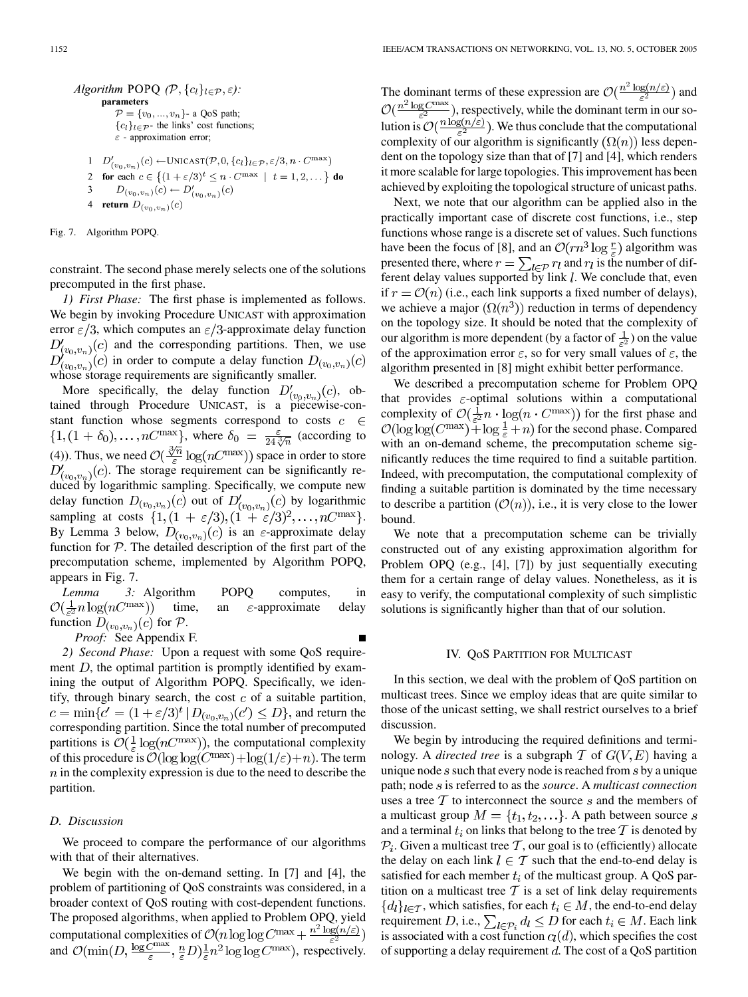2 for each 
$$
c \in \{(1+\varepsilon/3)^t \le n \cdot C^{\max} \mid t = 1, 2, ...\}
$$
 d

$$
D_{(v_0, v_n)}(c) \leftarrow D_{(v_0, v_n)}(c)
$$

4 return 
$$
D_{(v_0, v_n)}(c)
$$

Fig. 7. Algorithm POPQ.

constraint. The second phase merely selects one of the solutions precomputed in the first phase.

*1) First Phase:* The first phase is implemented as follows. We begin by invoking Procedure UNICAST with approximation error  $\epsilon/3$ , which computes an  $\epsilon/3$ -approximate delay function  $D'_{(v_0,v_n)}(c)$  and the corresponding partitions. Then, we use  $D_{(v_0,v_n)}^{(v_0,v_n)}(c)$  in order to compute a delay function  $D_{(v_0,v_n)}(c)$ whose storage requirements are significantly smaller.

More specifically, the delay function  $D'_{(v_0, v_n)}(c)$ , obtained through Procedure UNICAST, is a piecewise-constant function whose segments correspond to costs  $c$  $\{1, (1 + \delta_0), \ldots, nC^{\max}\}\,$ , where  $\delta_0 = \frac{\varepsilon}{24\sqrt[3]{n}}$  (according to (4)). Thus, we need  $\mathcal{O}(\frac{\sqrt[3]{n}}{\varepsilon} \log(nC^{\max}))$  space in order to store . The storage requirement can be significantly reduced by logarithmic sampling. Specifically, we compute new delay function  $D_{(v_0,v_n)}(c)$  out of  $D'_{(v_0,v_n)}(c)$  by logarithmic sampling at costs  $\{1,(1 + \varepsilon/3), (1 + \varepsilon/3)^2, \ldots, nC^{\max}\}.$ By Lemma 3 below,  $D_{(v_0, v_n)}(c)$  is an  $\varepsilon$ -approximate delay function for  $P$ . The detailed description of the first part of the precomputation scheme, implemented by Algorithm POPQ, appears in Fig. 7.

*Lemma 3:* Algorithm POPQ computes, in  $\mathcal{O}(\frac{1}{\varepsilon^2} n \log(nC^{\max}))$ time, an  $\varepsilon$ -approximate delay function  $D_{(v_0, v_n)}(c)$  for  $\mathcal{P}$ .

*Proof:* See Appendix F. *2) Second Phase:* Upon a request with some QoS requirement  $D$ , the optimal partition is promptly identified by examining the output of Algorithm POPQ. Specifically, we identify, through binary search, the cost  $c$  of a suitable partition,  $c = \min\{c' = (1 + \varepsilon/3)^t | D_{(v_0, v_n)}(c') \le D\}$ , and return the corresponding partition. Since the total number of precomputed partitions is  $\mathcal{O}(\frac{1}{\varepsilon}\log(nC^{\max}))$ , the computational complexity of this procedure is  $\mathcal{O}(\log \log (C^{\max}) + \log(1/\varepsilon) + n)$ . The term  $n$  in the complexity expression is due to the need to describe the partition.

## *D. Discussion*

We proceed to compare the performance of our algorithms with that of their alternatives.

We begin with the on-demand setting. In [\[7](#page-13-0)] and [[4\]](#page-13-0), the problem of partitioning of QoS constraints was considered, in a broader context of QoS routing with cost-dependent functions. The proposed algorithms, when applied to Problem OPQ, yield computational complexities of and  $\mathcal{O}(\min(D, \frac{\log C^{\max}}{\varepsilon}, \frac{n}{\varepsilon}D) \frac{1}{\varepsilon} n^2 \log \log C^{\max})$ , respectively.

The dominant terms of these expression are  $\mathcal{O}(\frac{n^2 \log(n/\varepsilon)}{\varepsilon^2})$  and  $\mathcal{O}(\frac{n^2 \log C^{max}}{\varepsilon^2})$ , respectively, while the dominant term in our solution is  $\mathcal{O}(\frac{n \log(n/\varepsilon)}{\varepsilon^2})$ . We thus conclude that the computational complexity of our algorithm is significantly  $(\Omega(n))$  less dependent on the topology size than that of [\[7](#page-13-0)] and [[4\]](#page-13-0), which renders it more scalable for large topologies. This improvement has been achieved by exploiting the topological structure of unicast paths.

Next, we note that our algorithm can be applied also in the practically important case of discrete cost functions, i.e., step functions whose range is a discrete set of values. Such functions have been the focus of [\[8](#page-13-0)], and an  $\mathcal{O}(rn^3 \log \frac{r}{s})$  algorithm was presented there, where  $r = \sum_{l \in \mathcal{P}} r_l$  and  $r_l$  is the number of different delay values supported by link  $l$ . We conclude that, even if  $r = \mathcal{O}(n)$  (i.e., each link supports a fixed number of delays), we achieve a major  $(\Omega(n^3))$  reduction in terms of dependency on the topology size. It should be noted that the complexity of our algorithm is more dependent (by a factor of  $\frac{1}{e^2}$ ) on the value of the approximation error  $\varepsilon$ , so for very small values of  $\varepsilon$ , the algorithm presented in [\[8](#page-13-0)] might exhibit better performance.

We described a precomputation scheme for Problem OPQ that provides  $\varepsilon$ -optimal solutions within a computational complexity of  $\mathcal{O}(\frac{1}{\epsilon^2}n \cdot \log(n \cdot C^{\max}))$  for the first phase and  $\mathcal{O}(\log \log (C^{\max}) + \log \frac{1}{\epsilon} + n)$  for the second phase. Compared with an on-demand scheme, the precomputation scheme significantly reduces the time required to find a suitable partition. Indeed, with precomputation, the computational complexity of finding a suitable partition is dominated by the time necessary to describe a partition  $(O(n))$ , i.e., it is very close to the lower bound.

We note that a precomputation scheme can be trivially constructed out of any existing approximation algorithm for Problem OPQ (e.g., [[4\]](#page-13-0), [[7](#page-13-0)]) by just sequentially executing them for a certain range of delay values. Nonetheless, as it is easy to verify, the computational complexity of such simplistic solutions is significantly higher than that of our solution.

#### IV. QoS PARTITION FOR MULTICAST

In this section, we deal with the problem of QoS partition on multicast trees. Since we employ ideas that are quite similar to those of the unicast setting, we shall restrict ourselves to a brief discussion.

We begin by introducing the required definitions and terminology. A *directed tree* is a subgraph  $T$  of  $G(V, E)$  having a unique node s such that every node is reached from s by a unique path; node s is referred to as the *source*. A *multicast connection* uses a tree  $\mathcal T$  to interconnect the source s and the members of a multicast group  $M = \{t_1, t_2, \ldots\}$ . A path between source s and a terminal  $t_i$  on links that belong to the tree  $\mathcal T$  is denoted by  $P_i$ . Given a multicast tree T, our goal is to (efficiently) allocate the delay on each link  $l \in \mathcal{T}$  such that the end-to-end delay is satisfied for each member  $t_i$  of the multicast group. A QoS partition on a multicast tree  $\mathcal T$  is a set of link delay requirements  ${d_l}_{l \in \mathcal{I}}$ , which satisfies, for each  $t_i \in M$ , the end-to-end delay requirement D, i.e.,  $\sum_{l \in \mathcal{P}_i} d_l \leq D$  for each  $t_i \in M$ . Each link is associated with a cost function  $c_l(d)$ , which specifies the cost of supporting a delay requirement  $d$ . The cost of a OoS partition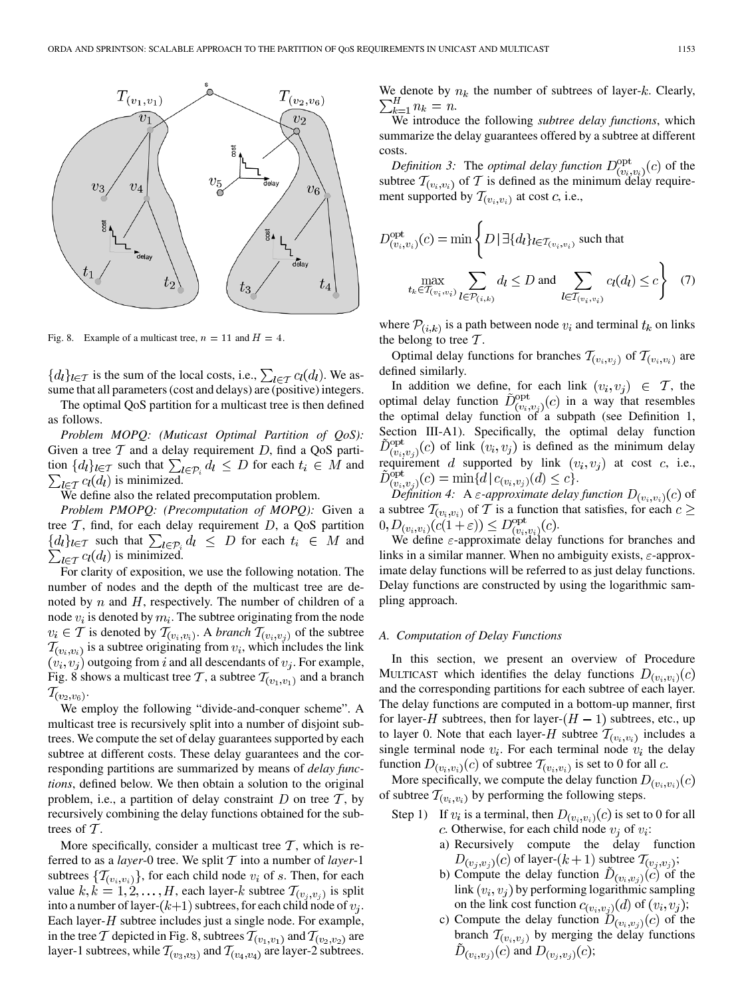

Fig. 8. Example of a multicast tree,  $n = 11$  and  $H = 4$ .

 $\{d_l\}_{l \in \mathcal{T}}$  is the sum of the local costs, i.e.,  $\sum_{l \in \mathcal{T}} c_l(d_l)$ . We assume that all parameters (cost and delays) are (positive) integers.

The optimal QoS partition for a multicast tree is then defined as follows.

*Problem MOPQ: (Muticast Optimal Partition of QoS):* Given a tree  $\mathcal T$  and a delay requirement  $D$ , find a QoS partition  $\{d_l\}_{l \in \mathcal{T}}$  such that  $\sum_{l \in \mathcal{P}_i} d_l \leq D$  for each  $t_i \in M$  and  $\sum_{l \in \mathcal{T}} c_l(d_l)$  is minimized.

We define also the related precomputation problem.

*Problem PMOPQ: (Precomputation of MOPQ):* Given a tree  $T$ , find, for each delay requirement  $D$ , a QoS partition  ${d_l}_{l \in \mathcal{T}}$  such that  $\sum_{l \in \mathcal{P}_i} d_l \leq D$  for each  $t_i \in M$  and  $\sum_{l \in \mathcal{T}} c_l(d_l)$  is minimized.

For clarity of exposition, we use the following notation. The number of nodes and the depth of the multicast tree are denoted by  $n$  and  $H$ , respectively. The number of children of a node  $v_i$  is denoted by  $m_i$ . The subtree originating from the node  $v_i \in \mathcal{T}$  is denoted by  $\mathcal{T}_{(v_i, v_i)}$ . A *branch*  $\mathcal{T}_{(v_i, v_j)}$  of the subtree  $\mathcal{T}_{(v_i, v_i)}$  is a subtree originating from  $v_i$ , which includes the link  $(v_i, v_j)$  outgoing from i and all descendants of  $v_j$ . For example, Fig. 8 shows a multicast tree T, a subtree  $T_{(v_1, v_1)}$  and a branch  $T_{(v_2,v_6)}$ .

We employ the following "divide-and-conquer scheme". A multicast tree is recursively split into a number of disjoint subtrees. We compute the set of delay guarantees supported by each subtree at different costs. These delay guarantees and the corresponding partitions are summarized by means of *delay functions*, defined below. We then obtain a solution to the original problem, i.e., a partition of delay constraint  $D$  on tree  $\mathcal T$ , by recursively combining the delay functions obtained for the subtrees of  $\mathcal T$ .

More specifically, consider a multicast tree  $\mathcal T$ , which is referred to as a *layer*-0 tree. We split  $T$  into a number of *layer*-1 subtrees  $\{\mathcal{T}_{(v_i, v_i)}\}$ , for each child node  $v_i$  of s. Then, for each value  $k, k = 1, 2, ..., H$ , each layer-k subtree  $\mathcal{T}_{(v_i, v_i)}$  is split into a number of layer- $(k+1)$  subtrees, for each child node of  $v_i$ . Each layer- $H$  subtree includes just a single node. For example, in the tree T depicted in Fig. 8, subtrees  $T_{(v_1, v_1)}$  and  $T_{(v_2, v_2)}$  are layer-1 subtrees, while  $T_{(v_3, v_3)}$  and  $T_{(v_4, v_4)}$  are layer-2 subtrees. We denote by  $n_k$  the number of subtrees of layer- $k$ . Clearly,  $\sum_{k=1}^H n_k = n.$ 

We introduce the following *subtree delay functions*, which summarize the delay guarantees offered by a subtree at different costs.

*Definition 3:* The *optimal delay function*  $D_{(v_i, v_i)}^{\text{opt}}(c)$  of the subtree  $T_{(v_i, v_i)}$  of T is defined as the minimum delay requirement supported by  $T_{(v_i, v_i)}$  at cost c, i.e.,

$$
D_{(v_i, v_i)}^{\text{opt}}(c) = \min \left\{ D \mid \exists \{d_l\}_{l \in \mathcal{T}_{(v_i, v_i)}} \text{ such that } \right\}
$$

$$
\max_{t_k \in \mathcal{T}_{(v_i, v_i)}} \sum_{l \in \mathcal{P}_{(i,k)}} d_l \le D \text{ and } \sum_{l \in \mathcal{T}_{(v_i, v_i)}} c_l(d_l) \le c \right\} \quad (7)
$$

where  $P(i,k)$  is a path between node  $v_i$  and terminal  $t_k$  on links the belong to tree  $\mathcal{T}$ .

Optimal delay functions for branches  $T_{(v_i, v_i)}$  of  $T_{(v_i, v_i)}$  are defined similarly.

In addition we define, for each link  $(v_i, v_j) \in \mathcal{T}$ , the optimal delay function  $D_{(n_1,n_2)}^{\text{opt}}(c)$  in a way that resembles the optimal delay function of a subpath (see Definition 1, Section III-A1). Specifically, the optimal delay function  $\tilde{D}_{(v_i, v_j)}^{\text{opt}}(c)$  of link  $(v_i, v_j)$  is defined as the minimum delay requirement d supported by link  $(v_i, v_j)$  at cost c, i.e.,  $\tilde{D}_{(v_i, v_i)}^{\text{opt}}(c) = \min\{d \,|\, c_{(v_i, v_j)}(d) \leq c\}.$ 

*Definition 4:* A  $\varepsilon$ -approximate delay function  $D_{(v_i, v_i)}(c)$  of a subtree  $\mathcal{T}_{(v_i, v_i)}$  of  $\mathcal T$  is a function that satisfies, for each  $c \geq$  $0, D_{(v_i, v_i)}(c(1+\varepsilon)) \leq D_{(v_i, v_i)}^{\text{opt}}(c).$ 

We define  $\varepsilon$ -approximate delay functions for branches and links in a similar manner. When no ambiguity exists,  $\varepsilon$ -approximate delay functions will be referred to as just delay functions. Delay functions are constructed by using the logarithmic sampling approach.

#### *A. Computation of Delay Functions*

In this section, we present an overview of Procedure MULTICAST which identifies the delay functions  $D_{(v_i, v_i)}(c)$ and the corresponding partitions for each subtree of each layer. The delay functions are computed in a bottom-up manner, first for layer-H subtrees, then for layer- $(H - 1)$  subtrees, etc., up to layer 0. Note that each layer-H subtree  $\mathcal{T}_{(v_i, v_i)}$  includes a single terminal node  $v_i$ . For each terminal node  $v_i$  the delay function  $D_{(v_i, v_i)}(c)$  of subtree  $\mathcal{T}_{(v_i, v_i)}$  is set to 0 for all c.

More specifically, we compute the delay function  $D_{(v_i, v_i)}(c)$ of subtree  $\mathcal{T}_{(v_i, v_i)}$  by performing the following steps.

- Step 1) If  $v_i$  is a terminal, then  $D_{(v_i, v_i)}(c)$  is set to 0 for all c. Otherwise, for each child node  $v_j$  of  $v_i$ :
	- a) Recursively compute the delay function  $D_{(v_i, v_i)}(c)$  of layer- $(k+1)$  subtree  $\mathcal{T}_{(v_i, v_i)}$ ;
	- b) Compute the delay function  $D_{(v_i, v_j)}(c)$  of the link  $(v_i, v_j)$  by performing logarithmic sampling on the link cost function  $c_{(v_i, v_j)}(d)$  of  $(v_i, v_j)$ ;
	- c) Compute the delay function  $D_{(v_i, v_j)}(c)$  of the branch  $T_{(v_i, v_j)}$  by merging the delay functions  $D_{(v_i, v_j)}(c)$  and  $D_{(v_i, v_j)}(c)$ ;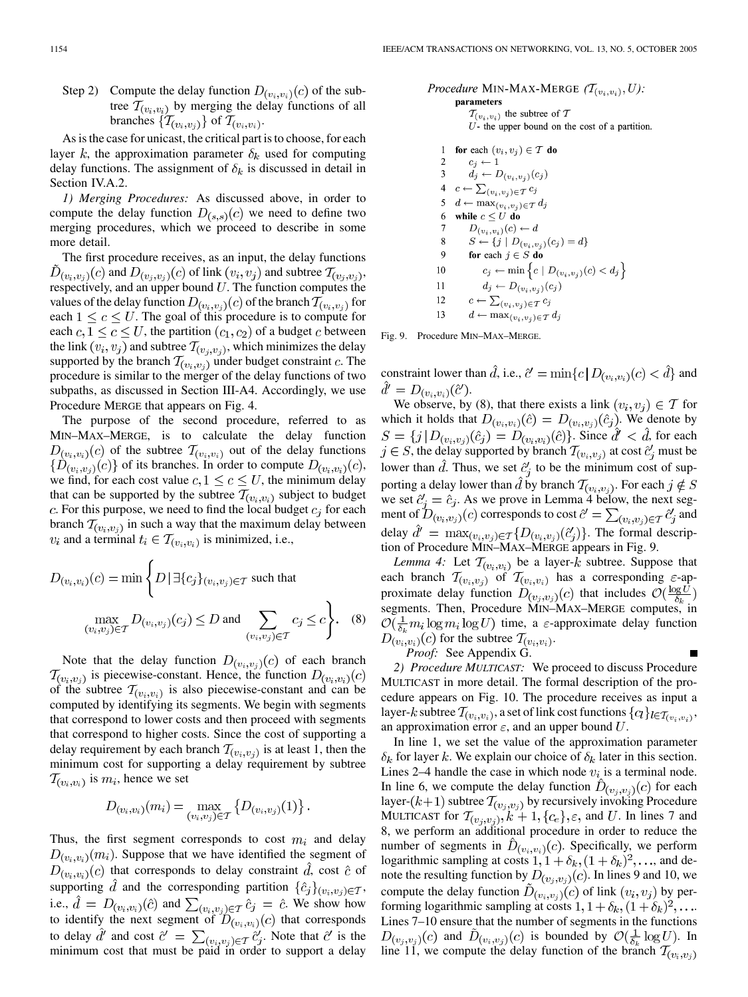Step 2) Compute the delay function  $D_{(v_i, v_i)}(c)$  of the subtree  $T_{(v_i, v_i)}$  by merging the delay functions of all branches  $\{\mathcal{T}_{(v_i, v_j)}\}$  of  $\mathcal{T}_{(v_i, v_i)}$ .

As is the case for unicast, the critical part is to choose, for each layer k, the approximation parameter  $\delta_k$  used for computing delay functions. The assignment of  $\delta_k$  is discussed in detail in Section IV.A.2.

*1) Merging Procedures:* As discussed above, in order to compute the delay function  $D_{(s,s)}(c)$  we need to define two merging procedures, which we proceed to describe in some more detail.

The first procedure receives, as an input, the delay functions  $D_{(v_i, v_j)}(c)$  and  $D_{(v_j, v_j)}(c)$  of link  $(v_i, v_j)$  and subtree  $\mathcal{T}_{(v_j, v_j)}$ , respectively, and an upper bound  $U$ . The function computes the values of the delay function  $D_{(v_i, v_j)}(c)$  of the branch  $\mathcal{T}_{(v_i, v_j)}$  for each  $1 \leq c \leq U$ . The goal of this procedure is to compute for each  $c, 1 \leq c \leq U$ , the partition  $(c_1, c_2)$  of a budget c between the link  $(v_i, v_j)$  and subtree  $\mathcal{T}_{(v_i, v_j)}$ , which minimizes the delay supported by the branch  $\mathcal{T}_{(v_i, v_j)}$  under budget constraint  $c$ . The procedure is similar to the merger of the delay functions of two subpaths, as discussed in Section III-A4. Accordingly, we use Procedure MERGE that appears on Fig. 4.

The purpose of the second procedure, referred to as MIN–MAX–MERGE, is to calculate the delay function  $D_{(v_i, v_i)}(c)$  of the subtree  $\mathcal{T}_{(v_i, v_i)}$  out of the delay functions  $\{D_{(v_i, v_i)}(c)\}\$  of its branches. In order to compute  $D_{(v_i, v_i)}(c)$ , we find, for each cost value  $c, 1 \leq c \leq U$ , the minimum delay that can be supported by the subtree  $\mathcal{T}_{(v_i, v_i)}$  subject to budget c. For this purpose, we need to find the local budget  $c_j$  for each branch  $\mathcal{T}_{(v_i, v_j)}$  in such a way that the maximum delay between  $v_i$  and a terminal  $t_i \in \mathcal{T}_{(v_i, v_i)}$  is minimized, i.e.,

$$
D_{(v_i, v_i)}(c) = \min \left\{ D \mid \exists \{c_j\}_{(v_i, v_j) \in \mathcal{T}} \text{ such that } \max_{(v_i, v_j) \in \mathcal{T}} D_{(v_i, v_j)}(c_j) \le D \text{ and } \sum_{(v_i, v_j) \in \mathcal{T}} c_j \le c \right\}.
$$
 (8)

Note that the delay function  $D_{(v_i, v_j)}(c)$  of each branch  $\mathcal{T}_{(v_i, v_i)}$  is piecewise-constant. Hence, the function  $D_{(v_i, v_i)}(c)$ of the subtree  $\mathcal{T}_{(v_i, v_i)}$  is also piecewise-constant and can be computed by identifying its segments. We begin with segments that correspond to lower costs and then proceed with segments that correspond to higher costs. Since the cost of supporting a delay requirement by each branch  $\mathcal{T}_{(v_i, v_j)}$  is at least 1, then the minimum cost for supporting a delay requirement by subtree  $T_{(v_i, v_i)}$  is  $m_i$ , hence we set

$$
D_{(v_i, v_i)}(m_i) = \max_{(v_i, v_j) \in \mathcal{T}} \{ D_{(v_i, v_j)}(1) \}.
$$

Thus, the first segment corresponds to cost  $m_i$  and delay  $D_{(v_i, v_i)}(m_i)$ . Suppose that we have identified the segment of  $D_{(v_i, v_i)}(c)$  that corresponds to delay constraint  $\hat{d}$ , cost  $\hat{c}$  of supporting  $\hat{d}$  and the corresponding partition  $\{\hat{c}_j\}_{(v_i, v_j) \in \mathcal{T}}$ , i.e.,  $d = D_{(v_i, v_i)}(\hat{c})$  and  $\sum_{(v_i, v_i) \in \mathcal{T}} \hat{c}_i = \hat{c}$ . We show how to identify the next segment of  $D_{(v_i,v_i)}(c)$  that corresponds to delay d' and cost  $\hat{c}' = \sum_{(n, n)} \in \tau \hat{c}'_i$ . Note that  $\hat{c}'$  is the minimum cost that must be paid in order to support a delay

*Proceedure* MIN-MAX-MERGE 
$$
(T_{(v_i, v_i)}, U)
$$
.

```
parameters
\mathcal{T}_{(v_i, v_i)} the subtree of \mathcal TU- the upper bound on the cost of a partition.
```
 $\mathbf{1}$ for each  $(v_i, v_j) \in \mathcal{T}$  do  $\overline{2}$  $c_i \leftarrow 1$  $\ddot{d}_j \leftarrow D_{(v_i, v_j)}(c_j)$  $\overline{\mathbf{3}}$  $c \leftarrow \sum_{(v_i, v_j) \in \mathcal{T}} c_j$  $\overline{4}$  $d \leftarrow \max_{(v_i, v_j) \in \mathcal{T}} d_j$ while  $c \leq U$  do  $D_{(v_i, v_i)}(c) \leftarrow d$  $S \leftarrow \{ j \mid D_{(v_i, v_j)}(c_j) = d \}$  for each  $j \in S$  do 8 q  $c_j \leftarrow \min \left\{ c \mid D_{(v_i, v_j)}(c) < d_j \right\}$  $10\,$  $d_j \leftarrow D_{(v_i, v_j)}(c_j)$ 11  $12$  $c \leftarrow \sum_{(v_i, v_j) \in \mathcal{T}} c_j$ 13  $d \leftarrow \max_{(v_i, v_j) \in \mathcal{T}} d_j$ 

Fig. 9. Procedure MIN–MAX–MERGE.

constraint lower than  $\hat{d}$ , i.e.,  $\hat{c}' = \min\{c \mid D_{(v_i, v_i)}(c) < \hat{d}\}\$ and  $d' = D_{(v_i, v_i)}(\mathcal{C}).$ 

We observe, by (8), that there exists a link  $(v_i, v_j) \in \mathcal{T}$  for which it holds that  $D_{(v_i, v_i)}(\hat{c}) = D_{(v_i, v_j)}(\hat{c}_j)$ . We denote by  $S = \{j | D_{(v_i, v_j)}(\hat{c}_j) = D_{(v_i, v_i)}(\hat{c})\}$ . Since  $\hat{d}' < \hat{d}$ , for each  $j \in S$ , the delay supported by branch  $\mathcal{T}_{(v_i, v_j)}$  at cost  $\hat{c}'_j$  must be lower than d. Thus, we set  $\hat{c}'_i$  to be the minimum cost of supporting a delay lower than d by branch  $\mathcal{T}_{(v_i, v_j)}$ . For each we set  $\hat{c}'_i = \hat{c}_j$ . As we prove in Lemma 4 below, the next segment of  $D_{(v_i, v_j)}(c)$  corresponds to cost  $\hat{c}' = \sum_{(v_i, v_j) \in \mathcal{T}} \hat{c}'_j$  and delay  $\hat{d}' = \max_{(v_i, v_j) \in \mathcal{T}} \{D_{(v_i, v_j)}(\hat{c}_i')\}$ . The formal description of Procedure MIN–MAX–MERGE appears in Fig. 9.

*Lemma 4:* Let  $\mathcal{T}_{(v_i, v_i)}$  be a layer-k subtree. Suppose that each branch  $T_{(v_i, v_i)}$  of  $T_{(v_i, v_i)}$  has a corresponding  $\varepsilon$ -approximate delay function  $D_{(v_j, v_j)}(c)$  that includes  $\mathcal{O}(\frac{\log U}{\delta_k})$ segments. Then, Procedure MIN–MAX–MERGE computes, in  $\mathcal{O}(\frac{1}{\delta_k}m_i\log m_i\log U)$  time, a  $\varepsilon$ -approximate delay function  $D_{(v_i, v_i)}(c)$  for the subtree  $\mathcal{T}_{(v_i, v_i)}$ .

*Proof:* See Appendix G.

*2) Procedure MULTICAST:* We proceed to discuss Procedure MULTICAST in more detail. The formal description of the procedure appears on Fig. 10. The procedure receives as input a layer-k subtree  $\mathcal{T}_{(v_i, v_i)}$ , a set of link cost functions  $\{c_l\}_{l \in \mathcal{T}_{(v_i, v_i)}}$ , an approximation error  $\varepsilon$ , and an upper bound U.

In line 1, we set the value of the approximation parameter  $\delta_k$  for layer k. We explain our choice of  $\delta_k$  later in this section. Lines 2–4 handle the case in which node  $v_i$  is a terminal node. In line 6, we compute the delay function  $D_{(v_j, v_j)}(c)$  for each layer- $(k+1)$  subtree  $\mathcal{T}_{(v_j, v_j)}$  by recursively invoking Procedure MULTICAST for  $\mathcal{T}_{(v_j, v_j)}$ ,  $k + 1$ , { $c_e$ },  $\varepsilon$ , and U. In lines 7 and 8, we perform an additional procedure in order to reduce the number of segments in  $D_{(v_i, v_i)}(c)$ . Specifically, we perform logarithmic sampling at costs  $1, 1 + \delta_k, (1 + \delta_k)^2, \ldots$ , and denote the resulting function by  $D_{(v_j, v_j)}(c)$ . In lines 9 and 10, we compute the delay function  $\tilde{D}_{(v_i, v_j)}(c)$  of link  $(v_i, v_j)$  by performing logarithmic sampling at costs  $1, 1 + \delta_k, (1 + \delta_k)^2, \ldots$ Lines 7–10 ensure that the number of segments in the functions  $D_{(v_j,v_j)}(c)$  and  $\tilde{D}_{(v_i,v_j)}(c)$  is bounded by  $\mathcal{O}(\frac{1}{\delta_k} \log U)$ . In line 11, we compute the delay function of the branch  $\mathcal{T}_{(v_i, v_j)}$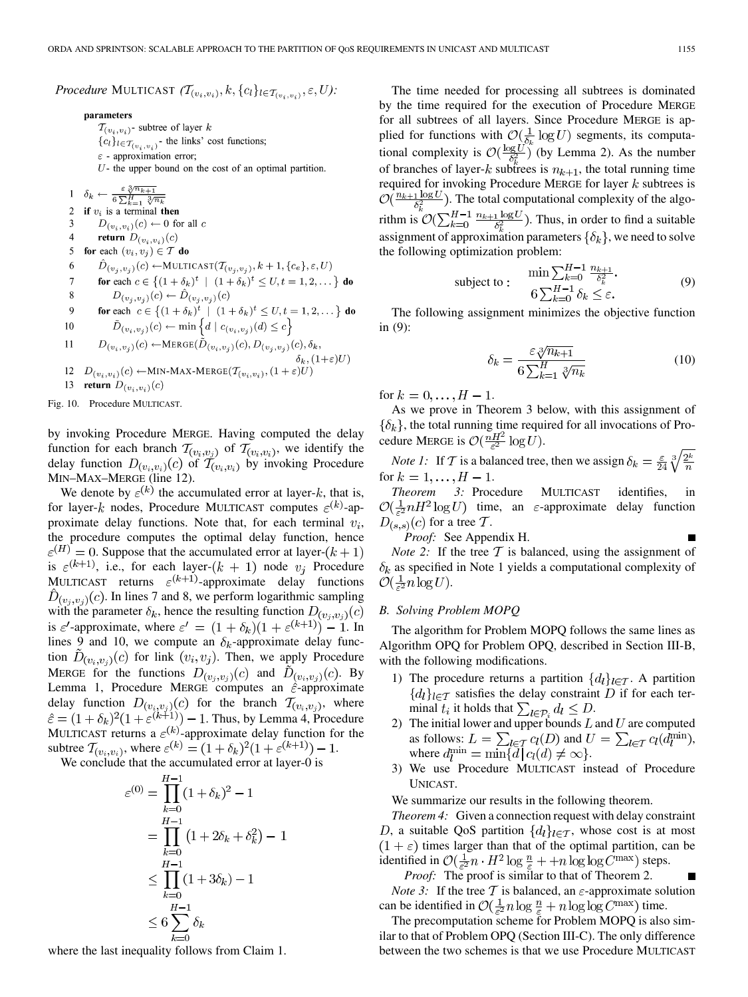## *Procedure* MULTICAST  $(T_{(v_i,v_i)}, k, \{c_l\}_{l \in T_{(v_i,v_i)}}, \varepsilon, U)$ :

parameters

 $\mathcal{T}_{(v_i, v_i)}$  - subtree of layer  $k$  $\{c_i\}_{i \in \mathcal{T}_{(v_i, v_i)}}$ - the links' cost functions;  $\varepsilon$  - approximation error;  $U$ - the upper bound on the cost of an optimal partition.

1  $\delta_k \leftarrow \frac{\varepsilon \sqrt[3]{n_{k+1}}}{6 \sum_{k=1}^H \sqrt[3]{n_k}}$ if  $v_i$  is a terminal then  $\overline{2}$  $D_{(v_i, v_i)}(c) \leftarrow 0$  for all  $c$  $\overline{\mathbf{3}}$ return  $D_{(v_i, v_i)}(c)$  $\overline{4}$ for each  $(v_i, v_j) \in \mathcal{T}$  do 5  $\hat{D}_{(v_j, v_j)}(c) \leftarrow \text{MULTICAST}(\mathcal{T}_{(v_j, v_j)}, k+1, \{c_e\}, \varepsilon, U)$ 6 for each  $c \in \{(1 + \delta_k)^t \mid (1 + \delta_k)^t \leq U, t = 1, 2, \dots \}$  do  $\overline{7}$  $D_{(v_j, v_j)}(c) \leftarrow \hat{D}_{(v_j, v_j)}(c)$ 8 9 for each  $c \in \{(1 + \delta_k)^t \mid (1 + \delta_k)^t \leq U, t = 1, 2, ...\}$  do  $\tilde{D}_{(v_i, v_j)}(c) \leftarrow \min \left\{ d \mid c_{(v_i, v_j)}(d) \leq c \right\}$ 10  $D_{(v_i, v_j)}(c) \leftarrow \!\! \texttt{MERGE}(\tilde{D}_{(v_i, v_j)}(c), D_{(v_j, v_j)}(c), \delta_k,$  $11$  $\delta_k, (1\!+\!\varepsilon) U)$  $D_{(v_i, v_i)}(c) \leftarrow$ MIN-MAX-MERGE $(\mathcal{T}_{(v_i, v_i)}, (1 + \varepsilon)U)$ 12 13 **return**  $D_{(v_i, v_i)}(c)$ 

Fig. 10. Procedure MULTICAST.

by invoking Procedure MERGE. Having computed the delay function for each branch  $T_{(v_i, v_i)}$  of  $T_{(v_i, v_i)}$ , we identify the delay function  $D_{(v_i, v_i)}(c)$  of  $\mathcal{T}_{(v_i, v_i)}$  by invoking Procedure MIN–MAX–MERGE (line 12).

We denote by  $\varepsilon^{(k)}$  the accumulated error at layer-k, that is, for layer-k nodes, Procedure MULTICAST computes  $\varepsilon^{(k)}$ -approximate delay functions. Note that, for each terminal  $v_i$ , the procedure computes the optimal delay function, hence  $\varepsilon^{(H)} = 0$ . Suppose that the accumulated error at layer- $(k+1)$ is  $\varepsilon^{(k+1)}$ , i.e., for each layer- $(k + 1)$  node  $v_j$  Procedure MULTICAST returns  $\varepsilon^{(k+1)}$ -approximate delay functions  $D_{(v_i, v_j)}(c)$ . In lines 7 and 8, we perform logarithmic sampling with the parameter  $\delta_k$ , hence the resulting function  $D_{(v_i, v_i)}(c)$ is  $\varepsilon'$ -approximate, where  $\varepsilon' = (1 + \delta_k)(1 + \varepsilon^{(k+1)}) - 1$ . In lines 9 and 10, we compute an  $\delta_k$ -approximate delay function  $D_{(v_i, v_j)}(c)$  for link  $(v_i, v_j)$ . Then, we apply Procedure MERGE for the functions  $D_{(v_i, v_j)}(c)$  and  $D_{(v_i, v_j)}(c)$ . By Lemma 1, Procedure MERGE computes an  $\hat{\varepsilon}$ -approximate delay function  $D_{(v_i, v_j)}(c)$  for the branch  $\mathcal{T}_{(v_i, v_j)}$ , where . Thus, by Lemma 4, Procedure MULTICAST returns a  $\varepsilon^{(k)}$ -approximate delay function for the subtree  $\mathcal{T}_{(v_i, v_i)}$ , where  $\varepsilon^{(k)} = (1 + \delta_k)^2 (1 + \varepsilon^{(k+1)}) - 1$ .

We conclude that the accumulated error at layer-0 is

$$
\varepsilon^{(0)} = \prod_{k=0}^{H-1} (1 + \delta_k)^2 - 1
$$
  
= 
$$
\prod_{k=0}^{H-1} (1 + 2\delta_k + \delta_k^2) - 1
$$
  

$$
\leq \prod_{k=0}^{H-1} (1 + 3\delta_k) - 1
$$
  

$$
\leq 6 \sum_{k=0}^{H-1} \delta_k
$$

where the last inequality follows from Claim 1.

 $k=0$ 

The time needed for processing all subtrees is dominated by the time required for the execution of Procedure MERGE for all subtrees of all layers. Since Procedure MERGE is applied for functions with  $\mathcal{O}(\frac{1}{\delta_k} \log U)$  segments, its computational complexity is  $\mathcal{O}(\frac{\log U}{\delta^2})$  (by Lemma 2). As the number of branches of layer-k subtrees is  $n_{k+1}$ , the total running time required for invoking Procedure MERGE for layer  $k$  subtrees is  $\mathcal{O}(\frac{n_{k+1} \log U}{\delta_k^2})$ . The total computational complexity of the algorithm is  $\mathcal{O}(\sum_{k=0}^{H-1} \frac{n_{k+1} \log U}{\delta_k^2})$ . Thus, in order to find a suitable assignment of approximation parameters  $\{\delta_k\}$ , we need to solve the following optimization problem:

subject to : 
$$
\frac{\min \sum_{k=0}^{H-1} \frac{n_{k+1}}{\delta_k^2}}{6 \sum_{k=0}^{H-1} \delta_k}.
$$
 (9)

The following assignment minimizes the objective function in (9):

$$
\delta_k = \frac{\varepsilon \sqrt[3]{n_{k+1}}}{6 \sum_{k=1}^{H} \sqrt[3]{n_k}} \tag{10}
$$

for  $k = 0, ..., H - 1$ .

As we prove in Theorem 3 below, with this assignment of  $\{\delta_k\}$ , the total running time required for all invocations of Procedure MERGE is  $\mathcal{O}(\frac{nH^2}{\varepsilon^2} \log U)$ .

*Note 1:* If T is a balanced tree, then we assign  $\delta_k = \frac{\varepsilon}{24} \sqrt[3]{\frac{2^k}{n}}$ for  $k = 1, ..., H - 1$ .

*Theorem 3:* Procedure MULTICAST identifies, in  $\mathcal{O}(\frac{1}{2}nH^2\log U)$  time, an  $\varepsilon$ -approximate delay function  $D_{(s,s)}(c)$  for a tree T.

*Proof:* See Appendix H.

*Note 2:* If the tree  $\mathcal T$  is balanced, using the assignment of  $\delta_k$  as specified in Note 1 yields a computational complexity of  $\mathcal{O}(\frac{1}{e^2}n\log U).$ 

## *B. Solving Problem MOPQ*

The algorithm for Problem MOPQ follows the same lines as Algorithm OPQ for Problem OPQ, described in Section III-B, with the following modifications.

- 1) The procedure returns a partition  $\{d_l\}_{l \in \mathcal{T}}$ . A partition  ${d_l}_{l \in \mathcal{T}}$  satisfies the delay constraint D if for each terminal  $t_i$  it holds that  $\sum_{l \in \mathcal{P}_i} d_l \leq D$ .
- 2) The initial lower and upper bounds  $L$  and  $U$  are computed as follows:  $L = \sum_{l \in \mathcal{T}} c_l(D)$  and  $U = \sum_{l \in \mathcal{T}} c_l(d_l^{\min}),$ where  $d_l^{\min} = \min\{d | c_l(d) \neq \infty\}.$
- 3) We use Procedure MULTICAST instead of Procedure UNICAST.

We summarize our results in the following theorem.

*Theorem 4:* Given a connection request with delay constraint D, a suitable QoS partition  $\{d_l\}_{l \in \mathcal{T}}$ , whose cost is at most  $(1 + \varepsilon)$  times larger than that of the optimal partition, can be identified in  $\mathcal{O}(\frac{1}{\epsilon^2}n \cdot H^2 \log \frac{n}{\epsilon} + n \log \log C^{\max})$  steps.

*Proof:* The proof is similar to that of Theorem 2. Г *Note 3:* If the tree  $\mathcal T$  is balanced, an  $\varepsilon$ -approximate solution can be identified in  $\mathcal{O}(\frac{1}{\varepsilon^2} n \log \frac{n}{\varepsilon} + n \log \log C^{\max})$  time.

The precomputation scheme for Problem MOPQ is also similar to that of Problem OPQ (Section III-C). The only difference between the two schemes is that we use Procedure MULTICAST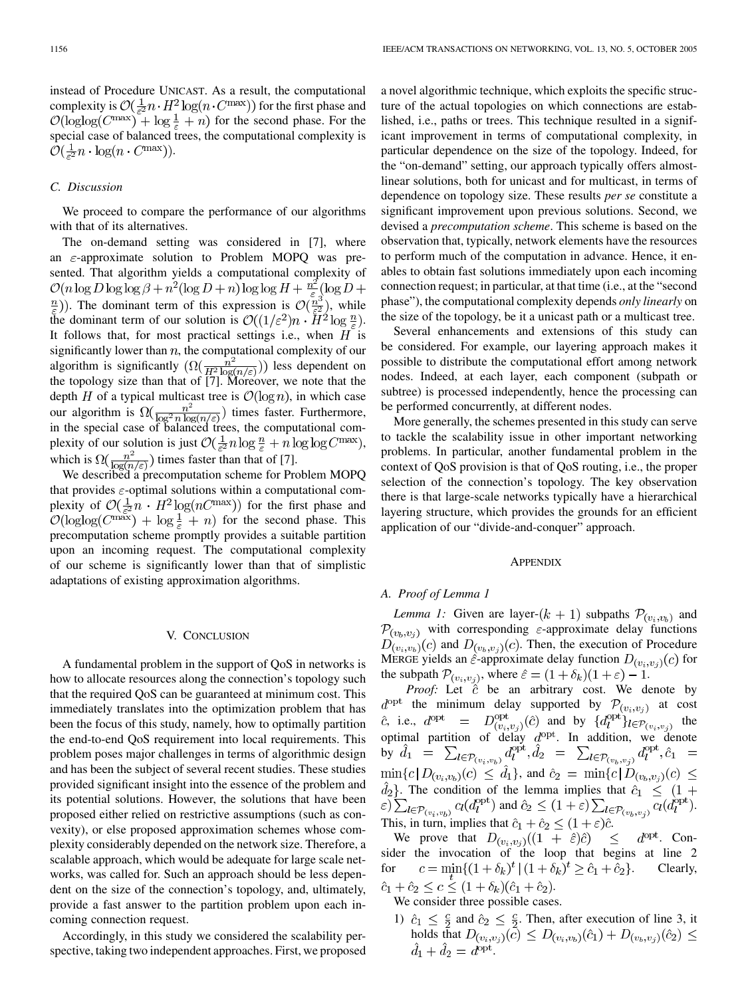instead of Procedure UNICAST. As a result, the computational complexity is  $\mathcal{O}(\frac{1}{\epsilon^2}n \cdot H^2 \log(n \cdot C^{\max}))$  for the first phase and  $\mathcal{O}(\text{loglog}(C^{\text{max}}) + \log \frac{1}{\epsilon} + n)$  for the second phase. For the special case of balanced trees, the computational complexity is  $\mathcal{O}(\frac{1}{e^2}n \cdot \log(n \cdot C^{\max}))$ .

## *C. Discussion*

We proceed to compare the performance of our algorithms with that of its alternatives.

The on-demand setting was considered in [\[7](#page-13-0)], where an  $\varepsilon$ -approximate solution to Problem MOPQ was presented. That algorithm yields a computational complexity of  $\mathcal{O}(n \log D \log \log \beta + n^2 (\log D + n) \log \log H + \frac{n^2}{\varepsilon} (\log D +$  $\left(\frac{n}{e}\right)$ ). The dominant term of this expression is  $\mathcal{O}(\frac{n^3}{e^2})$ , while the dominant term of our solution is  $\mathcal{O}((1/\varepsilon^2)n \cdot H^2 \log \frac{n}{\varepsilon}).$ It follows that, for most practical settings i.e., when  $H$  is significantly lower than  $n$ , the computational complexity of our algorithm is significantly  $\left(\Omega\left(\frac{n^2}{H^2 \log(n/\epsilon)}\right)\right)$  less dependent on the topology size than that of [\[7](#page-13-0)]. Moreover, we note that the depth H of a typical multicast tree is  $\mathcal{O}(\log n)$ , in which case our algorithm is  $\Omega(\frac{n^2}{\log^2 n \log(n/\epsilon)})$  times faster. Furthermore, in the special case of balanced trees, the computational complexity of our solution is just  $\mathcal{O}(\frac{1}{\varepsilon^2} n \log \frac{n}{\varepsilon} + n \log \log C^{\max})$ , which is  $\Omega(\frac{n^2}{\log(n/\epsilon)})$  times faster than that of [[7\]](#page-13-0).

We described a precomputation scheme for Problem MOPQ that provides  $\varepsilon$ -optimal solutions within a computational complexity of  $\mathcal{O}(\frac{1}{\epsilon^2}n \cdot H^2 \log(nC^{\max}))$  for the first phase and  $\mathcal{O}(\text{loglog}(C^{\text{max}}) + \text{log}(\frac{1}{\varepsilon} + n))$  for the second phase. This precomputation scheme promptly provides a suitable partition upon an incoming request. The computational complexity of our scheme is significantly lower than that of simplistic adaptations of existing approximation algorithms.

#### V. CONCLUSION

A fundamental problem in the support of QoS in networks is how to allocate resources along the connection's topology such that the required QoS can be guaranteed at minimum cost. This immediately translates into the optimization problem that has been the focus of this study, namely, how to optimally partition the end-to-end QoS requirement into local requirements. This problem poses major challenges in terms of algorithmic design and has been the subject of several recent studies. These studies provided significant insight into the essence of the problem and its potential solutions. However, the solutions that have been proposed either relied on restrictive assumptions (such as convexity), or else proposed approximation schemes whose complexity considerably depended on the network size. Therefore, a scalable approach, which would be adequate for large scale networks, was called for. Such an approach should be less dependent on the size of the connection's topology, and, ultimately, provide a fast answer to the partition problem upon each incoming connection request.

Accordingly, in this study we considered the scalability perspective, taking two independent approaches. First, we proposed

a novel algorithmic technique, which exploits the specific structure of the actual topologies on which connections are established, i.e., paths or trees. This technique resulted in a significant improvement in terms of computational complexity, in particular dependence on the size of the topology. Indeed, for the "on-demand" setting, our approach typically offers almostlinear solutions, both for unicast and for multicast, in terms of dependence on topology size. These results *per se* constitute a significant improvement upon previous solutions. Second, we devised a *precomputation scheme*. This scheme is based on the observation that, typically, network elements have the resources to perform much of the computation in advance. Hence, it enables to obtain fast solutions immediately upon each incoming connection request; in particular, at that time (i.e., at the "second phase"), the computational complexity depends *only linearly* on the size of the topology, be it a unicast path or a multicast tree.

Several enhancements and extensions of this study can be considered. For example, our layering approach makes it possible to distribute the computational effort among network nodes. Indeed, at each layer, each component (subpath or subtree) is processed independently, hence the processing can be performed concurrently, at different nodes.

More generally, the schemes presented in this study can serve to tackle the scalability issue in other important networking problems. In particular, another fundamental problem in the context of QoS provision is that of QoS routing, i.e., the proper selection of the connection's topology. The key observation there is that large-scale networks typically have a hierarchical layering structure, which provides the grounds for an efficient application of our "divide-and-conquer" approach.

#### **APPENDIX**

## *A. Proof of Lemma 1*

*Lemma 1:* Given are layer- $(k + 1)$  subpaths  $P_{(v_i, v_b)}$  and  $\mathcal{P}_{(v_b, v_j)}$  with corresponding  $\varepsilon$ -approximate delay functions  $D_{(v_i, v_b)}(c)$  and  $D_{(v_b, v_i)}(c)$ . Then, the execution of Procedure MERGE yields an  $\hat{\varepsilon}$ -approximate delay function  $D_{(v_i, v_i)}(c)$  for the subpath  $P_{(v_i, v_j)}$ , where  $\hat{\varepsilon} = (1 + \delta_k)(1 + \varepsilon) - 1$ .

Proof: Let  $\check{c}$  be an arbitrary cost. We denote by  $d^{\text{opt}}$  the minimum delay supported by  $\mathcal{P}_{(v_i, v_j)}$  at cost , i.e.,  $d^{\text{opt}} = D^{\text{opt}}_{(n_1, n_1)}(\hat{c})$  and by  $\{d^{\text{opt}}_l\}_{l \in \mathcal{P}_{(n_1, n_2)}}$  the optimal partition of delay  $d^{\text{opt}}$ . In addition, we denote by  $\min\{c \mid D_{(v_i, v_b)}(c) \leq \hat{d}_1\}$ , and  $\hat{c}_2 = \min\{c \mid D_{(v_b, v_j)}(c) \leq \hat{d}_1\}$ . The condition of the lemma implies that and  $\hat{c}_2 \leq (1+\varepsilon) \sum_{l \in \mathcal{D}_\varepsilon} c_l(d_l^{\text{opt}})$ . This, in turn, implies that  $\hat{c}_1 + \hat{c}_2 \leq (1 + \varepsilon)\hat{c}$ .

We prove that  $D_{(v_i, v_i)}((1 + \hat{\varepsilon})\hat{c}) \leq d^{\text{opt}}$ . Consider the invocation of the loop that begins at line 2 for  $c = \min_{t} \{ (1 + \delta_k)^t | (1 + \delta_k)^t \ge \hat{c}_1 + \hat{c}_2 \}.$  Clearly,  $\hat{c}_1 + \hat{c}_2 \leq c \leq (1 + \delta_k)(\hat{c}_1 + \hat{c}_2).$ 

We consider three possible cases.

1)  $\hat{c}_1 \leq \frac{c}{2}$  and  $\hat{c}_2 \leq \frac{c}{2}$ . Then, after execution of line 3, it holds that  $\hat{d}_1 + \hat{d}_2 = d^{\text{opt}}.$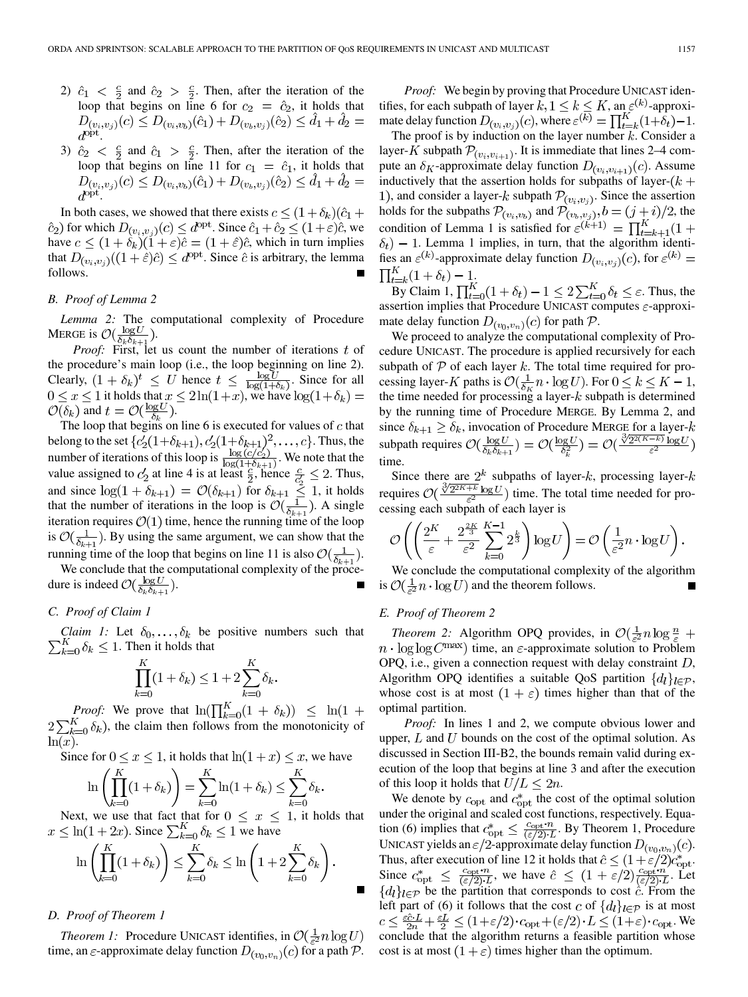- 2)  $\hat{c}_1 < \frac{c}{2}$  and  $\hat{c}_2 > \frac{c}{2}$ . Then, after the iteration of the loop that begins on line 6 for  $c_2 = \hat{c}_2$ , it holds that  $D_{(v_i, v_j)}(c) \le D_{(v_i, v_b)}(\hat{c}_1) + D_{(v_b, v_j)}(\hat{c}_2) \le \hat{d}_1 + \hat{d}_2 =$ <br>  $d^{\text{opt}}$ .
- 3)  $\hat{c}_2 < \frac{c}{2}$  and  $\hat{c}_1 > \frac{c}{2}$ . Then, after the iteration of the loop that begins on line 11 for  $c_1 = \hat{c}_1$ , it holds that  $D_{(v_i,v_j)}(c) \leq D_{(v_i,v_b)}(\hat{c}_1) + D_{(v_b,v_j)}(\hat{c}_2) \leq d_1 + d_2 =$  $d^{\text{opt}}$ .

In both cases, we showed that there exists  $c \leq (1 + \delta_k)(\hat{c}_1 + \delta_k)$  $\hat{c}_2$ ) for which  $D_{(v_i, v_j)}(c) \leq d^{\text{opt}}$ . Since  $\hat{c}_1 + \hat{c}_2 \leq (1 + \varepsilon)\hat{c}$ , we have  $c \leq (1 + \delta_k)(1 + \varepsilon)\hat{c} = (1 + \hat{\varepsilon})\hat{c}$ , which in turn implies that  $D_{(v_i, v_j)}((1 + \hat{\varepsilon})\hat{c}) \leq d^{\text{opt}}$ . Since  $\hat{c}$  is arbitrary, the lemma follows.

## *B. Proof of Lemma 2*

*Lemma 2:* The computational complexity of Procedure MERGE is  $\mathcal{O}(\frac{\log U}{\delta_1 \delta_2 + 1})$ .

*Proof:* First, let us count the number of iterations t of the procedure's main loop (i.e., the loop beginning on line 2). Clearly,  $(1 + \delta_k)^t \leq U$  hence  $t \leq \frac{\log U}{\log(1+\delta_k)}$ . Since for all  $0 \leq x \leq 1$  it holds that  $x \leq 2 \ln(1+x)$ , we have  $\log(1+\delta_k) =$ and  $t = \mathcal{O}(\frac{\log U}{\delta t}).$ 

The loop that begins on line 6 is executed for values of  $c$  that belong to the set  $\{c_2'(1+\delta_{k+1}), c_2'(1+\delta_{k+1})^2, \ldots, c\}$ . Thus, the number of iterations of this loop is  $\frac{\log(c/c_2)}{\log(1+\delta_{i-1})}$ . We note that the value assigned to  $c_2$  at line 4 is at least  $\frac{c}{2}$ , hence  $\frac{c}{c'} \leq 2$ . Thus, and since  $log(1 + \delta_{k+1}) = O(\delta_{k+1})$  for  $\delta_{k+1} \leq 1$ , it holds that the number of iterations in the loop is  $\mathcal{O}(\frac{1}{\delta_{\text{max}}})$ . A single iteration requires  $\mathcal{O}(1)$  time, hence the running time of the loop is  $\mathcal{O}(\frac{1}{\delta_{k+1}})$ . By using the same argument, we can show that the running time of the loop that begins on line 11 is also  $\mathcal{O}(\frac{1}{\delta_{k+1}})$ .

We conclude that the computational complexity of the procedure is indeed  $\mathcal{O}(\frac{\log U}{\delta \epsilon \delta \epsilon} )$ .

## *C. Proof of Claim 1*

*Claim 1:* Let  $\delta_0, \ldots, \delta_k$  be positive numbers such that  $\sum_{k=0}^{K} \delta_k \leq 1$ . Then it holds that

$$
\prod_{k=0}^{K} (1 + \delta_k) \le 1 + 2 \sum_{k=0}^{K} \delta_k.
$$

*Proof:* We prove that  $\ln(\prod_{k=0}^{K}(1 + \delta_k)) \leq \ln(1 + \delta_k)$  $2\sum_{k=0}^{K} \delta_k$ ), the claim then follows from the monotonicity of  $\ln(x)$ .

Since for  $0 \le x \le 1$ , it holds that  $\ln(1 + x) \le x$ , we have

$$
\ln \left( \prod_{k=0}^{K} (1 + \delta_k) \right) = \sum_{k=0}^{K} \ln(1 + \delta_k) \le \sum_{k=0}^{K} \delta_k.
$$

Next, we use that fact that for  $0 \leq x \leq 1$ , it holds that  $x \leq \ln(1+2x)$ . Since  $\sum_{k=0}^{K} \delta_k \leq 1$  we have

$$
\ln\left(\prod_{k=0}^K(1+\delta_k)\right) \le \sum_{k=0}^K \delta_k \le \ln\left(1+2\sum_{k=0}^K \delta_k\right).
$$

## *D. Proof of Theorem 1*

*Theorem 1:* Procedure UNICAST identifies, in  $\mathcal{O}(\frac{1}{\epsilon^2}n \log U)$ time, an  $\varepsilon$ -approximate delay function  $D_{(v_0, v_n)}(c)$  for a path  $\mathcal{P}$ .

*Proof:* We begin by proving that Procedure UNICAST identifies, for each subpath of layer  $k, 1 \leq k \leq K$ , an  $\varepsilon^{(k)}$ -approximate delay function  $D_{(v_i, v_j)}(c)$ , where  $\varepsilon^{(k)} = \prod_{t=k}^{K} (1 + \delta_t) - 1$ .

The proof is by induction on the layer number  $k$ . Consider a layer-K subpath  $P_{(v_i, v_{i+1})}$ . It is immediate that lines 2–4 compute an  $\delta_K$ -approximate delay function  $D_{(v_i, v_{i+1})}(c)$ . Assume inductively that the assertion holds for subpaths of layer- $(k +$ 1), and consider a layer-k subpath  $P_{(v_i, v_j)}$ . Since the assertion holds for the subpaths  $P_{(v_i, v_h)}$  and  $P_{(v_h, v_i)}$ ,  $b = (j + i)/2$ , the condition of Lemma 1 is satisfied for  $\delta_t$ ) – 1. Lemma 1 implies, in turn, that the algorithm identifies an  $\varepsilon^{(k)}$ -approximate delay function  $D_{(v_i, v_j)}(c)$ , for  $\varepsilon^{(k)} =$  $\prod_{t=k}^{K} (1 + \delta_t) - 1.$ 

By Claim 1,  $\prod_{t=0}^{K} (1 + \delta_t) - 1 \leq 2 \sum_{t=0}^{K} \delta_t \leq \varepsilon$ . Thus, the assertion implies that Procedure UNICAST computes  $\varepsilon$ -approximate delay function  $D_{(v_0,v_n)}(c)$  for path  $\mathcal{P}$ .

We proceed to analyze the computational complexity of Procedure UNICAST. The procedure is applied recursively for each subpath of  $P$  of each layer  $k$ . The total time required for processing layer-K paths is  $\mathcal{O}(\frac{1}{\delta_K}n \cdot \log U)$ . For  $0 \le k \le K - 1$ , the time needed for processing a layer- $k$  subpath is determined by the running time of Procedure MERGE. By Lemma 2, and since  $\delta_{k+1} \ge \delta_k$ , invocation of Procedure MERGE for a layer- $k$ subpath requires  $\mathcal{O}(\frac{\log U}{\delta_k \delta_{k+1}}) = \mathcal{O}(\frac{\log U}{\delta_k^2}) = \mathcal{O}(\frac{\sqrt[3]{2^{2(K-k)}} \log U}{\varepsilon^2})$ time.

Since there are  $2^k$  subpaths of layer-k, processing layer-k requires  $\mathcal{O}(\frac{\sqrt[3]{2^{2K+k}}\log U}{\epsilon^2})$  time. The total time needed for processing each subpath of each layer is

$$
\mathcal{O}\left(\left(\frac{2^K}{\varepsilon} + \frac{2^{\frac{2K}{3}}}{\varepsilon^2} \sum_{k=0}^{K-1} 2^{\frac{k}{3}}\right) \log U\right) = \mathcal{O}\left(\frac{1}{\varepsilon^2} n \cdot \log U\right).
$$

We conclude the computational complexity of the algorithm is  $\mathcal{O}(\frac{1}{\epsilon^2}n \cdot \log U)$  and the theorem follows.

#### *E. Proof of Theorem 2*

*Theorem 2:* Algorithm OPQ provides, in  $\mathcal{O}(\frac{1}{\epsilon^2}n \log \frac{n}{\epsilon} +$  $n \cdot \log \log C^{\max}$  time, an  $\varepsilon$ -approximate solution to Problem OPQ, i.e., given a connection request with delay constraint  $D$ , Algorithm OPQ identifies a suitable QoS partition  $\{d_l\}_{l \in \mathcal{P}}$ , whose cost is at most  $(1 + \varepsilon)$  times higher than that of the optimal partition.

*Proof:* In lines 1 and 2, we compute obvious lower and upper,  $L$  and  $U$  bounds on the cost of the optimal solution. As discussed in Section III-B2, the bounds remain valid during execution of the loop that begins at line 3 and after the execution of this loop it holds that  $U/L \leq 2n$ .

We denote by  $c_{opt}$  and  $c_{opt}^*$  the cost of the optimal solution under the original and scaled cost functions, respectively. Equation (6) implies that  $c_{opt}^* \leq \frac{c_{opt} \cdot n}{(\varepsilon/2) \cdot L}$ . By Theorem 1, Procedure UNICAST yields an  $\varepsilon/2$ -approximate delay function  $D_{(v_0,v_n)}(c)$ . Thus, after execution of line 12 it holds that  $\hat{c} \leq (1 + \varepsilon/2)c_{\text{opt}}^*$ . Since  $c_{\text{opt}}^* \leq \frac{c_{\text{opt}} n}{\epsilon(2) \cdot L}$ , we have  $\hat{c} \leq (1 + \epsilon/2) \frac{c_{\text{opt}} n}{\epsilon(2) \cdot L}$ . Let  ${d_l}_{l \in \mathcal{P}}$  be the partition that corresponds to cost  $\hat{c}$ . From the left part of (6) it follows that the cost c of  $\{d_l\}_{l \in \mathcal{P}}$  is at most  $c \leq \frac{\varepsilon cL}{2n} + \frac{\varepsilon L}{2} \leq (1 + \varepsilon/2) \cdot c_{\text{opt}} + (\varepsilon/2) \cdot L \leq (1 + \varepsilon) \cdot c_{\text{opt}}$ . We conclude that the algorithm returns a feasible partition whose cost is at most  $(1 + \varepsilon)$  times higher than the optimum.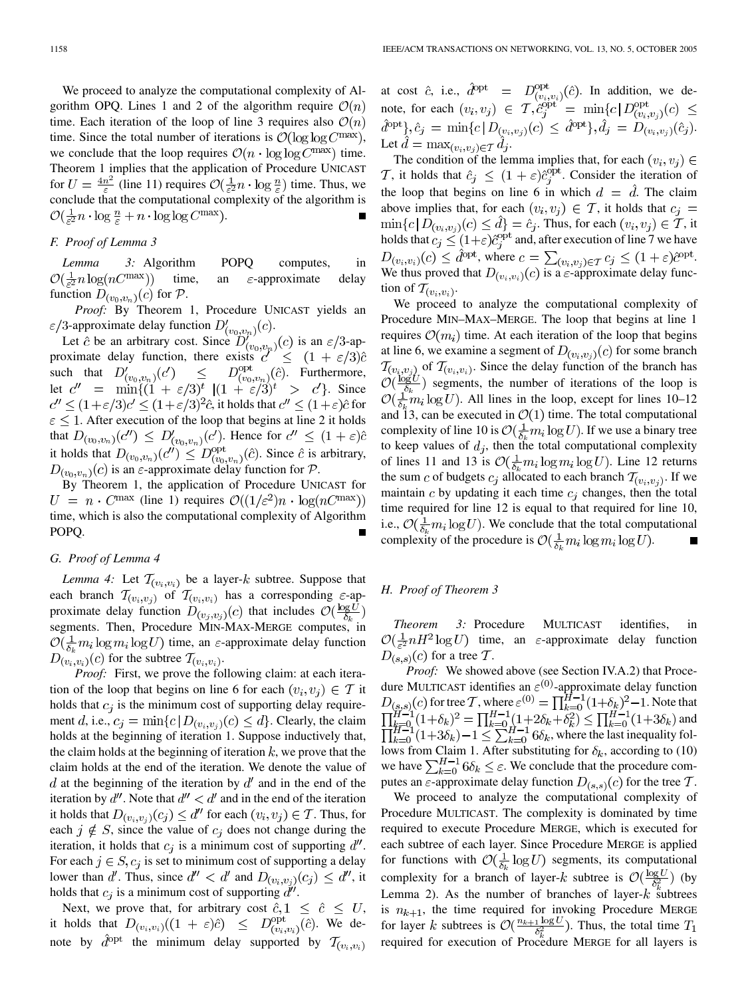We proceed to analyze the computational complexity of Algorithm OPQ. Lines 1 and 2 of the algorithm require  $\mathcal{O}(n)$ time. Each iteration of the loop of line 3 requires also  $\mathcal{O}(n)$ time. Since the total number of iterations is  $\mathcal{O}(\log \log C^{\max})$ , we conclude that the loop requires  $\mathcal{O}(n \cdot \log \log C^{\max})$  time. Theorem 1 implies that the application of Procedure UNICAST for  $U = \frac{4n^2}{\varepsilon}$  (line 11) requires  $\mathcal{O}(\frac{1}{\varepsilon^2}n \cdot \log \frac{n}{\varepsilon})$  time. Thus, we conclude that the computational complexity of the algorithm is  $\mathcal{O}(\frac{1}{\varepsilon^2}n \cdot \log \frac{n}{\varepsilon} + n \cdot \log \log C^{\max}).$ 

## *F. Proof of Lemma 3*

*Lemma 3:* Algorithm POPQ computes, in  $\mathcal{O}(\frac{1}{\varepsilon^2} n \log(nC^{\max}))$  time, an  $\varepsilon$ -approximate delay an  $\varepsilon$ -approximate delay function  $D_{(v_0,v_n)}(c)$  for  $\mathcal{P}$ .

*Proof:* By Theorem 1, Procedure UNICAST yields an  $\varepsilon/3$ -approximate delay function  $D'_{(v_0,v_n)}(c)$ .

Let  $\hat{c}$  be an arbitrary cost. Since  $D'_{(n_0,n_1)}(c)$  is an  $\epsilon/3$ -approximate delay function, there exists such that  $D'_{(n_0,n_1)}(c') \leq D_{(n_0,n_1)}^{\text{opt}}(\hat{c})$ . Furthermore, let  $c'' = \min\{(1 + \varepsilon/3)^t \mid (1 + \varepsilon/3)^t > c'\}.$  Since  $c'' \leq (1+\varepsilon/3)c' \leq (1+\varepsilon/3)^2\hat{c}$ , it holds that  $c'' \leq (1+\varepsilon)\hat{c}$  for  $\varepsilon \leq 1$ . After execution of the loop that begins at line 2 it holds that  $D_{(v_0,v_n)}(c'') \leq D'_{(v_0,v_n)}(c')$ . Hence for  $c'' \leq (1+\varepsilon)\hat{c}$ it holds that  $D_{(v_0, v_n)}(c'') \leq D_{(v_0, v_1)}^{\text{opt}}(\hat{c})$ . Since  $\hat{c}$  is arbitrary, is an  $\varepsilon$ -approximate delay function for  $\mathcal{P}$ .

By Theorem 1, the application of Procedure UNICAST for  $U = n \cdot C^{\max}$  (line 1) requires  $\mathcal{O}((1/\varepsilon^2)n \cdot \log(nC^{\max}))$ time, which is also the computational complexity of Algorithm POPQ.

## *G. Proof of Lemma 4*

*Lemma 4:* Let  $\mathcal{T}_{(v_i, v_i)}$  be a layer-k subtree. Suppose that each branch  $\mathcal{T}_{(v_i, v_j)}$  of  $\mathcal{T}_{(v_i, v_i)}$  has a corresponding  $\varepsilon$ -approximate delay function  $D_{(v_j, v_j)}(c)$  that includes  $\mathcal{O}(\frac{\log U}{\delta \mu})$ segments. Then, Procedure MIN-MAX-MERGE computes, in  $\mathcal{O}(\frac{1}{\delta_k}m_i\log m_i\log U)$  time, an  $\varepsilon$ -approximate delay function  $D_{(v_i, v_i)}(c)$  for the subtree  $\mathcal{T}_{(v_i, v_i)}$ .

*Proof:* First, we prove the following claim: at each iteration of the loop that begins on line 6 for each  $(v_i, v_j) \in \mathcal{T}$  it holds that  $c_j$  is the minimum cost of supporting delay requirement d, i.e.,  $c_j = \min\{c \mid D_{(v_i, v_j)}(c) \leq d\}$ . Clearly, the claim holds at the beginning of iteration 1. Suppose inductively that, the claim holds at the beginning of iteration  $k$ , we prove that the claim holds at the end of the iteration. We denote the value of d at the beginning of the iteration by  $d'$  and in the end of the iteration by  $d''$ . Note that  $d'' < d'$  and in the end of the iteration it holds that  $D_{(v_i, v_j)}(c_j) \le d''$  for each  $(v_i, v_j) \in \mathcal{T}$ . Thus, for each  $j \notin S$ , since the value of  $c_j$  does not change during the iteration, it holds that  $c_i$  is a minimum cost of supporting  $d''$ . For each  $j \in S$ ,  $c_j$  is set to minimum cost of supporting a delay lower than d'. Thus, since  $d'' < d'$  and  $D_{(v_i, v_j)}(c_j) \le d''$ , it holds that  $c_i$  is a minimum cost of supporting  $\overline{d}''$ .

Next, we prove that, for arbitrary cost  $\hat{c}$ ,  $1 \leq \hat{c} \leq U$ , it holds that  $D_{(v_i, v_i)}((1 + \varepsilon)\hat{c}) \leq D_{(v_i, v_i)}^{\text{opt}}(\hat{c})$ . We denote by  $\hat{d}^{\text{opt}}$  the minimum delay supported by  $\mathcal{T}_{(v_i, v_i)}$ 

at cost  $\hat{c}$ , i.e.,  $d^{\text{opt}} = D^{\text{opt}}_{(n+1)}(\hat{c})$ . In addition, we denote, for each  $\hat{d}^{\text{opt}}$ ,  $\hat{c}_j = \min\{c \, | \, D_{(v_i, v_j)}(c) \leq \hat{d}^{\text{opt}} \}, \hat{d}_j = D_{(v_i, v_j)}(\hat{c}_j).$ Let  $\ddot{d} = \max_{(v_i, v_j) \in \mathcal{T}} d_j$ .

The condition of the lemma implies that, for each  $(v_i, v_j) \in$ T, it holds that  $\hat{c}_j \leq (1+\varepsilon)\hat{c}_i^{\text{opt}}$ . Consider the iteration of the loop that begins on line 6 in which  $d = \hat{d}$ . The claim above implies that, for each  $(v_i, v_j) \in \mathcal{T}$ , it holds that  $c_j =$  $\min\{c \mid D_{(v_i, v_j)}(c) \leq d\} = \hat{c}_j$ . Thus, for each  $(v_i, v_j) \in \mathcal{T}$ , it holds that  $c_j \leq (1+\varepsilon)c_j^{\text{opt}}$  and, after execution of line 7 we have  $D_{(v_i, v_i)}(c) \leq \hat{d}^{\text{opt}},$  where  $c = \sum_{(v_i, v_j) \in \mathcal{T}} c_j \leq (1 + \varepsilon) \hat{c}^{\text{opt}}.$ We thus proved that  $D_{(v_i, v_i)}(c)$  is a  $\varepsilon$ -approximate delay function of  $\mathcal{T}_{(v_i, v_i)}$ .

We proceed to analyze the computational complexity of Procedure MIN–MAX–MERGE. The loop that begins at line 1 requires  $\mathcal{O}(m_i)$  time. At each iteration of the loop that begins at line 6, we examine a segment of  $D_{(v_i, v_j)}(c)$  for some branch  $\mathcal{T}_{(v_i, v_j)}$  of  $\mathcal{T}_{(v_i, v_i)}$ . Since the delay function of the branch has  $\mathcal{O}(\frac{\log U}{\delta_k})$  segments, the number of iterations of the loop is  $\mathcal{O}(\frac{1}{\delta}m_i \log U)$ . All lines in the loop, except for lines 10–12 and 13, can be executed in  $\mathcal{O}(1)$  time. The total computational complexity of line 10 is  $\mathcal{O}(\frac{1}{\delta_k}m_i \log U)$ . If we use a binary tree to keep values of  $d_j$ , then the total computational complexity of lines 11 and 13 is  $\mathcal{O}(\frac{1}{\delta_k}m_i\log m_i\log U)$ . Line 12 returns the sum c of budgets  $c_j$  allocated to each branch  $\mathcal{T}_{(v_i, v_j)}$ . If we maintain c by updating it each time  $c_i$  changes, then the total time required for line 12 is equal to that required for line 10, i.e.,  $\mathcal{O}(\frac{1}{\delta_k}m_i \log U)$ . We conclude that the total computational complexity of the procedure is  $\mathcal{O}(\frac{1}{\delta_k}m_i \log m_i \log U)$ .

#### *H. Proof of Theorem 3*

*Theorem 3:* Procedure MULTICAST identifies, in  $\mathcal{O}(\frac{1}{\epsilon^2}nH^2\log U)$  time, an  $\epsilon$ -approximate delay function  $D_{(s,s)}(c)$  for a tree T.

*Proof:* We showed above (see Section IV.A.2) that Procedure MULTICAST identifies an  $\varepsilon^{(0)}$ -approximate delay function for tree T, where  $\varepsilon^{(0)} = \prod_{k=0}^{n-1} (1+\delta_k)^2 - 1$ . Note that and , where the last inequality follows from Claim 1. After substituting for  $\delta_k$ , according to (10) we have  $\sum_{k=0}^{H-1} 6\delta_k \leq \varepsilon$ . We conclude that the procedure computes an  $\varepsilon$ -approximate delay function  $D_{(s,s)}(c)$  for the tree  $\mathcal T$ .

We proceed to analyze the computational complexity of Procedure MULTICAST. The complexity is dominated by time required to execute Procedure MERGE, which is executed for each subtree of each layer. Since Procedure MERGE is applied for functions with  $\mathcal{O}(\frac{1}{\delta_k} \log U)$  segments, its computational complexity for a branch of layer-k subtree is  $\mathcal{O}(\frac{\log U}{\delta^2})$  (by Lemma 2). As the number of branches of layer- $k$  subtrees is  $n_{k+1}$ , the time required for invoking Procedure MERGE for layer k subtrees is  $\mathcal{O}(\frac{n_{k+1} \log U}{\delta_k^2})$ . Thus, the total time  $T_1$ required for execution of Procedure MERGE for all layers is